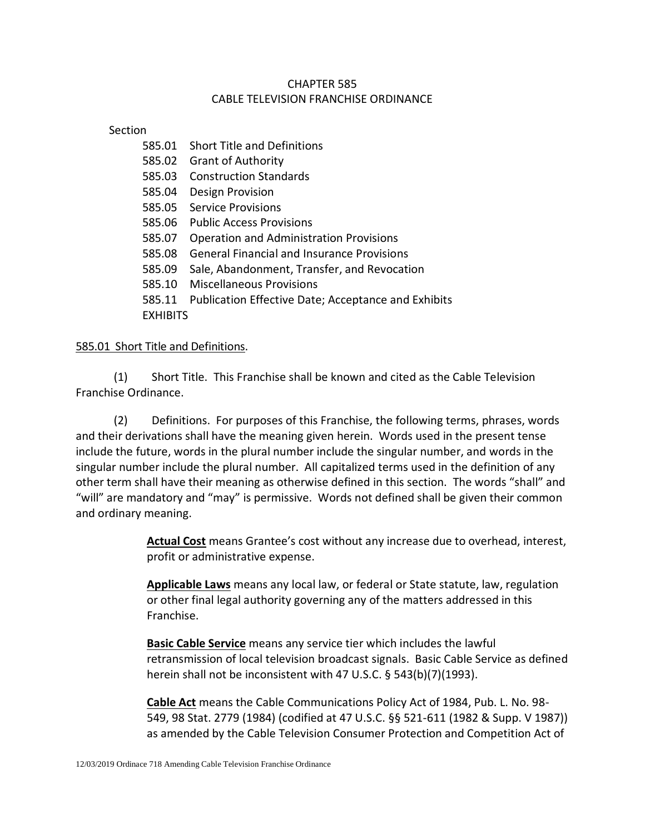# CHAPTER 585 CABLE TELEVISION FRANCHISE ORDINANCE

### Section

585.01 Short Title and Definitions 585.02 Grant of Authority 585.03 Construction Standards 585.04 Design Provision 585.05 Service Provisions 585.06 Public Access Provisions 585.07 Operation and Administration Provisions 585.08 General Financial and Insurance Provisions 585.09 Sale, Abandonment, Transfer, and Revocation 585.10 Miscellaneous Provisions 585.11 Publication Effective Date; Acceptance and Exhibits **EXHIBITS** 

## 585.01 Short Title and Definitions.

(1) Short Title. This Franchise shall be known and cited as the Cable Television Franchise Ordinance.

(2) Definitions. For purposes of this Franchise, the following terms, phrases, words and their derivations shall have the meaning given herein. Words used in the present tense include the future, words in the plural number include the singular number, and words in the singular number include the plural number. All capitalized terms used in the definition of any other term shall have their meaning as otherwise defined in this section. The words "shall" and "will" are mandatory and "may" is permissive. Words not defined shall be given their common and ordinary meaning.

> **Actual Cost** means Grantee's cost without any increase due to overhead, interest, profit or administrative expense.

**Applicable Laws** means any local law, or federal or State statute, law, regulation or other final legal authority governing any of the matters addressed in this Franchise.

**Basic Cable Service** means any service tier which includes the lawful retransmission of local television broadcast signals. Basic Cable Service as defined herein shall not be inconsistent with 47 U.S.C. § 543(b)(7)(1993).

**Cable Act** means the Cable Communications Policy Act of 1984, Pub. L. No. 98- 549, 98 Stat. 2779 (1984) (codified at 47 U.S.C. §§ 521-611 (1982 & Supp. V 1987)) as amended by the Cable Television Consumer Protection and Competition Act of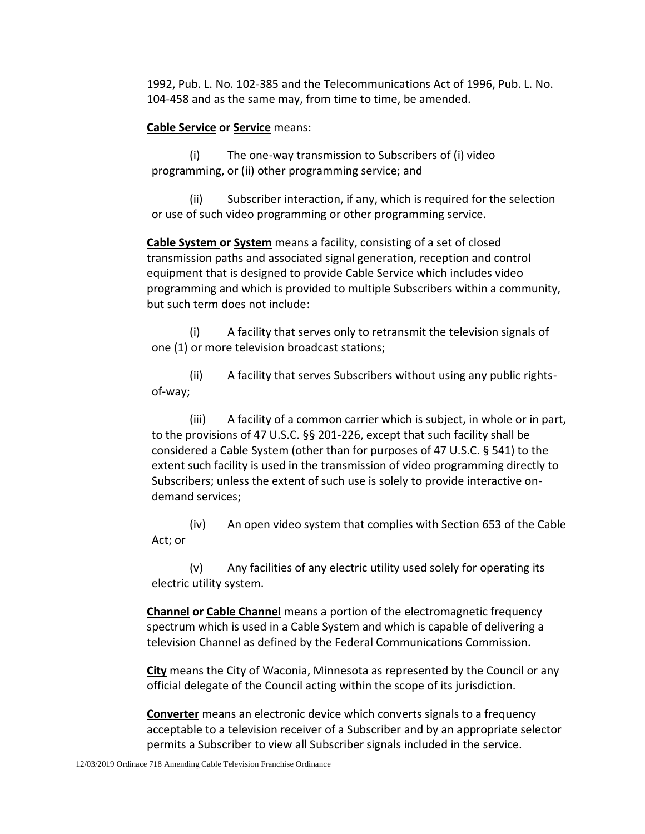1992, Pub. L. No. 102-385 and the Telecommunications Act of 1996, Pub. L. No. 104-458 and as the same may, from time to time, be amended.

### **Cable Service or Service** means:

(i) The one-way transmission to Subscribers of (i) video programming, or (ii) other programming service; and

(ii) Subscriber interaction, if any, which is required for the selection or use of such video programming or other programming service.

**Cable System or System** means a facility, consisting of a set of closed transmission paths and associated signal generation, reception and control equipment that is designed to provide Cable Service which includes video programming and which is provided to multiple Subscribers within a community, but such term does not include:

(i) A facility that serves only to retransmit the television signals of one (1) or more television broadcast stations;

(ii) A facility that serves Subscribers without using any public rightsof-way;

(iii) A facility of a common carrier which is subject, in whole or in part, to the provisions of 47 U.S.C. §§ 201-226, except that such facility shall be considered a Cable System (other than for purposes of 47 U.S.C. § 541) to the extent such facility is used in the transmission of video programming directly to Subscribers; unless the extent of such use is solely to provide interactive ondemand services;

(iv) An open video system that complies with Section 653 of the Cable Act; or

(v) Any facilities of any electric utility used solely for operating its electric utility system.

**Channel or Cable Channel** means a portion of the electromagnetic frequency spectrum which is used in a Cable System and which is capable of delivering a television Channel as defined by the Federal Communications Commission.

**City** means the City of Waconia, Minnesota as represented by the Council or any official delegate of the Council acting within the scope of its jurisdiction.

**Converter** means an electronic device which converts signals to a frequency acceptable to a television receiver of a Subscriber and by an appropriate selector permits a Subscriber to view all Subscriber signals included in the service.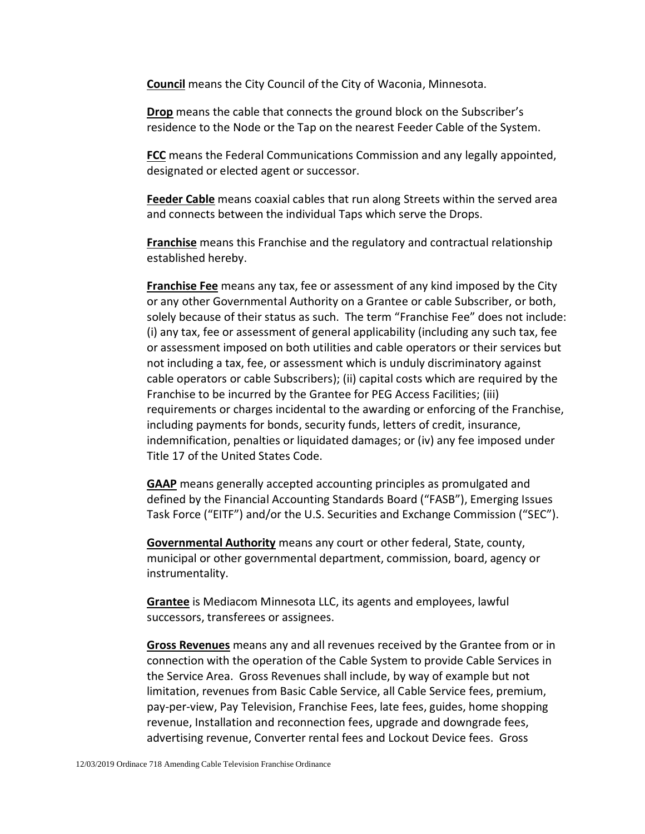**Council** means the City Council of the City of Waconia, Minnesota.

**Drop** means the cable that connects the ground block on the Subscriber's residence to the Node or the Tap on the nearest Feeder Cable of the System.

**FCC** means the Federal Communications Commission and any legally appointed, designated or elected agent or successor.

**Feeder Cable** means coaxial cables that run along Streets within the served area and connects between the individual Taps which serve the Drops.

**Franchise** means this Franchise and the regulatory and contractual relationship established hereby.

**Franchise Fee** means any tax, fee or assessment of any kind imposed by the City or any other Governmental Authority on a Grantee or cable Subscriber, or both, solely because of their status as such. The term "Franchise Fee" does not include: (i) any tax, fee or assessment of general applicability (including any such tax, fee or assessment imposed on both utilities and cable operators or their services but not including a tax, fee, or assessment which is unduly discriminatory against cable operators or cable Subscribers); (ii) capital costs which are required by the Franchise to be incurred by the Grantee for PEG Access Facilities; (iii) requirements or charges incidental to the awarding or enforcing of the Franchise, including payments for bonds, security funds, letters of credit, insurance, indemnification, penalties or liquidated damages; or (iv) any fee imposed under Title 17 of the United States Code.

**GAAP** means generally accepted accounting principles as promulgated and defined by the Financial Accounting Standards Board ("FASB"), Emerging Issues Task Force ("EITF") and/or the U.S. Securities and Exchange Commission ("SEC").

**Governmental Authority** means any court or other federal, State, county, municipal or other governmental department, commission, board, agency or instrumentality.

**Grantee** is Mediacom Minnesota LLC, its agents and employees, lawful successors, transferees or assignees.

**Gross Revenues** means any and all revenues received by the Grantee from or in connection with the operation of the Cable System to provide Cable Services in the Service Area. Gross Revenues shall include, by way of example but not limitation, revenues from Basic Cable Service, all Cable Service fees, premium, pay-per-view, Pay Television, Franchise Fees, late fees, guides, home shopping revenue, Installation and reconnection fees, upgrade and downgrade fees, advertising revenue, Converter rental fees and Lockout Device fees. Gross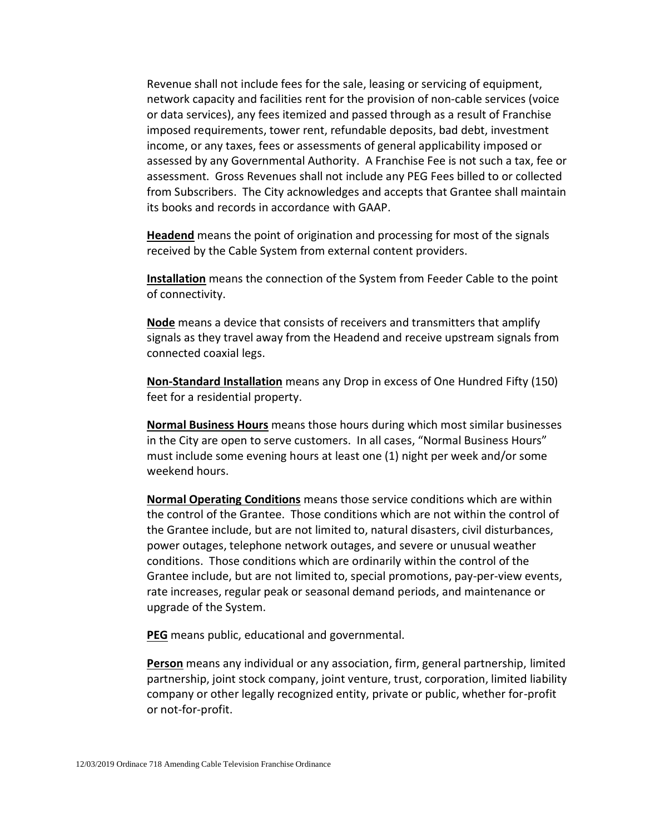Revenue shall not include fees for the sale, leasing or servicing of equipment, network capacity and facilities rent for the provision of non-cable services (voice or data services), any fees itemized and passed through as a result of Franchise imposed requirements, tower rent, refundable deposits, bad debt, investment income, or any taxes, fees or assessments of general applicability imposed or assessed by any Governmental Authority. A Franchise Fee is not such a tax, fee or assessment. Gross Revenues shall not include any PEG Fees billed to or collected from Subscribers. The City acknowledges and accepts that Grantee shall maintain its books and records in accordance with GAAP.

**Headend** means the point of origination and processing for most of the signals received by the Cable System from external content providers.

**Installation** means the connection of the System from Feeder Cable to the point of connectivity.

**Node** means a device that consists of receivers and transmitters that amplify signals as they travel away from the Headend and receive upstream signals from connected coaxial legs.

**Non-Standard Installation** means any Drop in excess of One Hundred Fifty (150) feet for a residential property.

**Normal Business Hours** means those hours during which most similar businesses in the City are open to serve customers. In all cases, "Normal Business Hours" must include some evening hours at least one (1) night per week and/or some weekend hours.

**Normal Operating Conditions** means those service conditions which are within the control of the Grantee. Those conditions which are not within the control of the Grantee include, but are not limited to, natural disasters, civil disturbances, power outages, telephone network outages, and severe or unusual weather conditions. Those conditions which are ordinarily within the control of the Grantee include, but are not limited to, special promotions, pay-per-view events, rate increases, regular peak or seasonal demand periods, and maintenance or upgrade of the System.

**PEG** means public, educational and governmental.

**Person** means any individual or any association, firm, general partnership, limited partnership, joint stock company, joint venture, trust, corporation, limited liability company or other legally recognized entity, private or public, whether for-profit or not-for-profit.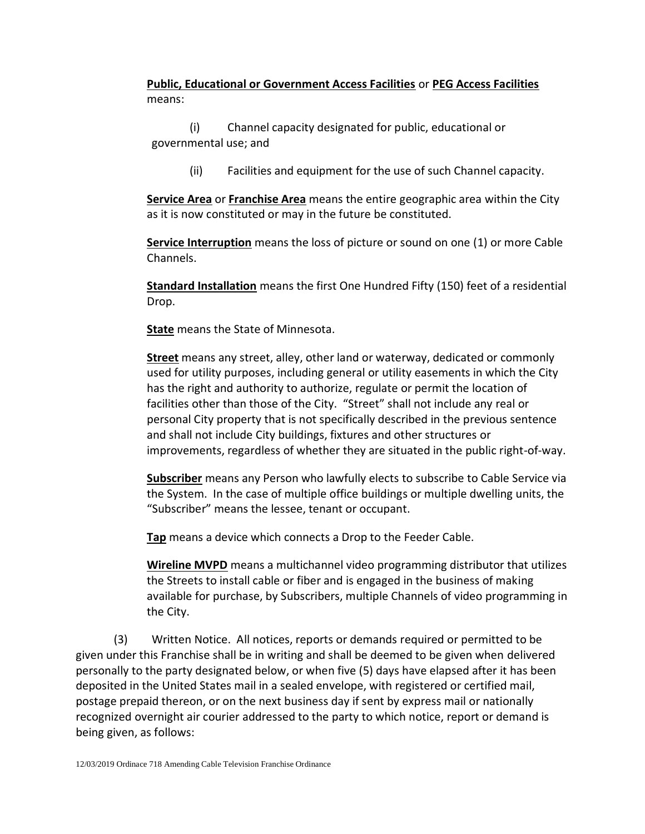**Public, Educational or Government Access Facilities** or **PEG Access Facilities** means:

(i) Channel capacity designated for public, educational or governmental use; and

(ii) Facilities and equipment for the use of such Channel capacity.

**Service Area** or **Franchise Area** means the entire geographic area within the City as it is now constituted or may in the future be constituted.

**Service Interruption** means the loss of picture or sound on one (1) or more Cable Channels.

**Standard Installation** means the first One Hundred Fifty (150) feet of a residential Drop.

**State** means the State of Minnesota.

**Street** means any street, alley, other land or waterway, dedicated or commonly used for utility purposes, including general or utility easements in which the City has the right and authority to authorize, regulate or permit the location of facilities other than those of the City. "Street" shall not include any real or personal City property that is not specifically described in the previous sentence and shall not include City buildings, fixtures and other structures or improvements, regardless of whether they are situated in the public right-of-way.

**Subscriber** means any Person who lawfully elects to subscribe to Cable Service via the System. In the case of multiple office buildings or multiple dwelling units, the "Subscriber" means the lessee, tenant or occupant.

**Tap** means a device which connects a Drop to the Feeder Cable.

**Wireline MVPD** means a multichannel video programming distributor that utilizes the Streets to install cable or fiber and is engaged in the business of making available for purchase, by Subscribers, multiple Channels of video programming in the City.

(3) Written Notice. All notices, reports or demands required or permitted to be given under this Franchise shall be in writing and shall be deemed to be given when delivered personally to the party designated below, or when five (5) days have elapsed after it has been deposited in the United States mail in a sealed envelope, with registered or certified mail, postage prepaid thereon, or on the next business day if sent by express mail or nationally recognized overnight air courier addressed to the party to which notice, report or demand is being given, as follows: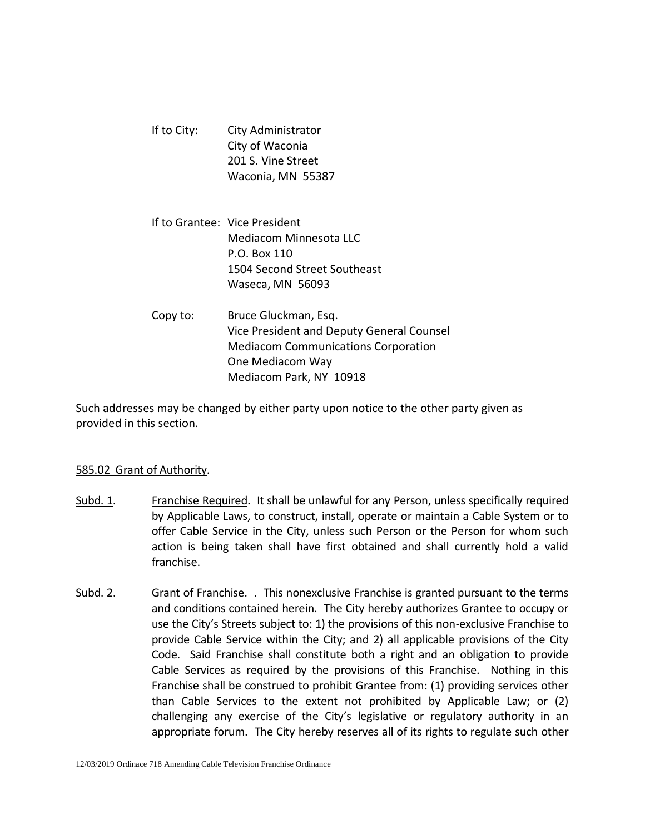| If to City: | City Administrator |  |
|-------------|--------------------|--|
|             | City of Waconia    |  |
|             | 201 S. Vine Street |  |
|             | Waconia, MN 55387  |  |

- If to Grantee: Vice President Mediacom Minnesota LLC P.O. Box 110 1504 Second Street Southeast Waseca, MN 56093
- Copy to: Bruce Gluckman, Esq. Vice President and Deputy General Counsel Mediacom Communications Corporation One Mediacom Way Mediacom Park, NY 10918

Such addresses may be changed by either party upon notice to the other party given as provided in this section.

## 585.02 Grant of Authority.

- Subd. 1. Franchise Required. It shall be unlawful for any Person, unless specifically required by Applicable Laws, to construct, install, operate or maintain a Cable System or to offer Cable Service in the City, unless such Person or the Person for whom such action is being taken shall have first obtained and shall currently hold a valid franchise.
- Subd. 2. Grant of Franchise. . This nonexclusive Franchise is granted pursuant to the terms and conditions contained herein. The City hereby authorizes Grantee to occupy or use the City's Streets subject to: 1) the provisions of this non-exclusive Franchise to provide Cable Service within the City; and 2) all applicable provisions of the City Code. Said Franchise shall constitute both a right and an obligation to provide Cable Services as required by the provisions of this Franchise. Nothing in this Franchise shall be construed to prohibit Grantee from: (1) providing services other than Cable Services to the extent not prohibited by Applicable Law; or (2) challenging any exercise of the City's legislative or regulatory authority in an appropriate forum. The City hereby reserves all of its rights to regulate such other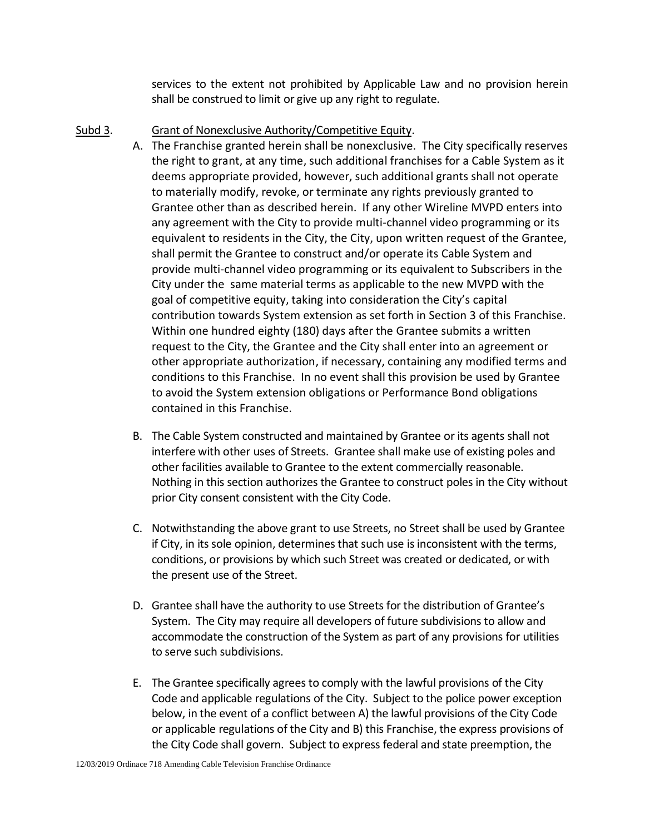services to the extent not prohibited by Applicable Law and no provision herein shall be construed to limit or give up any right to regulate.

- Subd 3. Grant of Nonexclusive Authority/Competitive Equity.
	- A. The Franchise granted herein shall be nonexclusive. The City specifically reserves the right to grant, at any time, such additional franchises for a Cable System as it deems appropriate provided, however, such additional grants shall not operate to materially modify, revoke, or terminate any rights previously granted to Grantee other than as described herein. If any other Wireline MVPD enters into any agreement with the City to provide multi-channel video programming or its equivalent to residents in the City, the City, upon written request of the Grantee, shall permit the Grantee to construct and/or operate its Cable System and provide multi-channel video programming or its equivalent to Subscribers in the City under the same material terms as applicable to the new MVPD with the goal of competitive equity, taking into consideration the City's capital contribution towards System extension as set forth in Section 3 of this Franchise. Within one hundred eighty (180) days after the Grantee submits a written request to the City, the Grantee and the City shall enter into an agreement or other appropriate authorization, if necessary, containing any modified terms and conditions to this Franchise. In no event shall this provision be used by Grantee to avoid the System extension obligations or Performance Bond obligations contained in this Franchise.
	- B. The Cable System constructed and maintained by Grantee or its agents shall not interfere with other uses of Streets. Grantee shall make use of existing poles and other facilities available to Grantee to the extent commercially reasonable. Nothing in this section authorizes the Grantee to construct poles in the City without prior City consent consistent with the City Code.
	- C. Notwithstanding the above grant to use Streets, no Street shall be used by Grantee if City, in its sole opinion, determines that such use is inconsistent with the terms, conditions, or provisions by which such Street was created or dedicated, or with the present use of the Street.
	- D. Grantee shall have the authority to use Streets for the distribution of Grantee's System. The City may require all developers of future subdivisions to allow and accommodate the construction of the System as part of any provisions for utilities to serve such subdivisions.
	- E. The Grantee specifically agrees to comply with the lawful provisions of the City Code and applicable regulations of the City. Subject to the police power exception below, in the event of a conflict between A) the lawful provisions of the City Code or applicable regulations of the City and B) this Franchise, the express provisions of the City Code shall govern. Subject to express federal and state preemption, the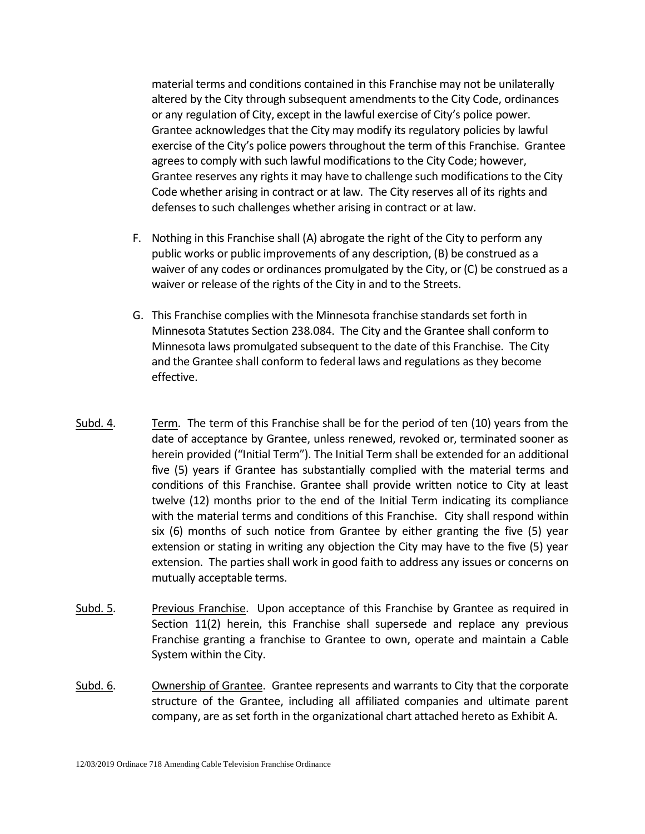material terms and conditions contained in this Franchise may not be unilaterally altered by the City through subsequent amendments to the City Code, ordinances or any regulation of City, except in the lawful exercise of City's police power. Grantee acknowledges that the City may modify its regulatory policies by lawful exercise of the City's police powers throughout the term of this Franchise. Grantee agrees to comply with such lawful modifications to the City Code; however, Grantee reserves any rights it may have to challenge such modifications to the City Code whether arising in contract or at law. The City reserves all of its rights and defenses to such challenges whether arising in contract or at law.

- F. Nothing in this Franchise shall (A) abrogate the right of the City to perform any public works or public improvements of any description, (B) be construed as a waiver of any codes or ordinances promulgated by the City, or (C) be construed as a waiver or release of the rights of the City in and to the Streets.
- G. This Franchise complies with the Minnesota franchise standards set forth in Minnesota Statutes Section 238.084. The City and the Grantee shall conform to Minnesota laws promulgated subsequent to the date of this Franchise. The City and the Grantee shall conform to federal laws and regulations as they become effective.
- Subd. 4. Term. The term of this Franchise shall be for the period of ten (10) years from the date of acceptance by Grantee, unless renewed, revoked or, terminated sooner as herein provided ("Initial Term"). The Initial Term shall be extended for an additional five (5) years if Grantee has substantially complied with the material terms and conditions of this Franchise. Grantee shall provide written notice to City at least twelve (12) months prior to the end of the Initial Term indicating its compliance with the material terms and conditions of this Franchise. City shall respond within six (6) months of such notice from Grantee by either granting the five (5) year extension or stating in writing any objection the City may have to the five (5) year extension. The parties shall work in good faith to address any issues or concerns on mutually acceptable terms.
- Subd. 5. Previous Franchise. Upon acceptance of this Franchise by Grantee as required in Section 11(2) herein, this Franchise shall supersede and replace any previous Franchise granting a franchise to Grantee to own, operate and maintain a Cable System within the City.
- Subd. 6. Ownership of Grantee. Grantee represents and warrants to City that the corporate structure of the Grantee, including all affiliated companies and ultimate parent company, are as set forth in the organizational chart attached hereto as Exhibit A.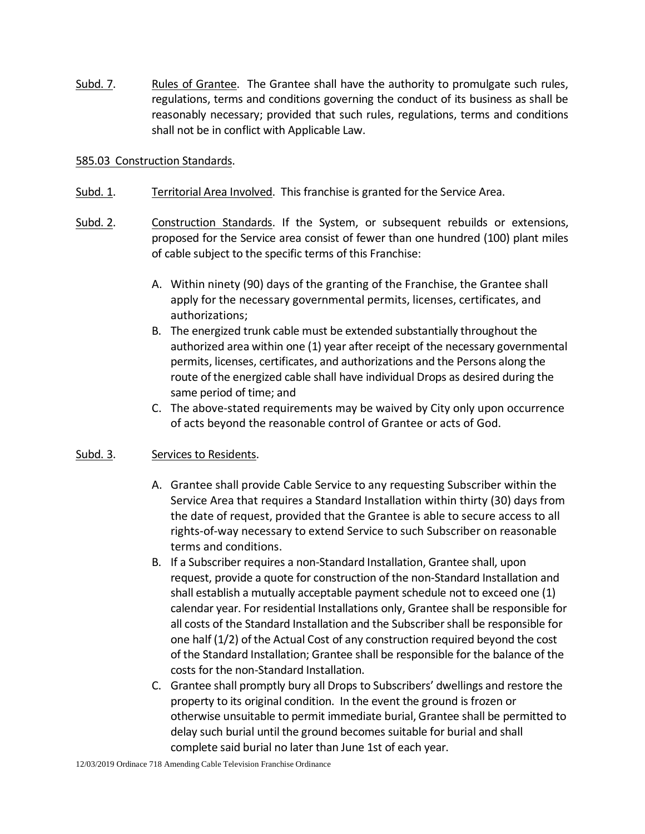Subd. 7. Rules of Grantee. The Grantee shall have the authority to promulgate such rules, regulations, terms and conditions governing the conduct of its business as shall be reasonably necessary; provided that such rules, regulations, terms and conditions shall not be in conflict with Applicable Law.

### 585.03 Construction Standards.

- Subd. 1. Territorial Area Involved. This franchise is granted for the Service Area.
- Subd. 2. Construction Standards. If the System, or subsequent rebuilds or extensions, proposed for the Service area consist of fewer than one hundred (100) plant miles of cable subject to the specific terms of this Franchise:
	- A. Within ninety (90) days of the granting of the Franchise, the Grantee shall apply for the necessary governmental permits, licenses, certificates, and authorizations;
	- B. The energized trunk cable must be extended substantially throughout the authorized area within one (1) year after receipt of the necessary governmental permits, licenses, certificates, and authorizations and the Persons along the route of the energized cable shall have individual Drops as desired during the same period of time; and
	- C. The above-stated requirements may be waived by City only upon occurrence of acts beyond the reasonable control of Grantee or acts of God.

## Subd. 3. Services to Residents.

- A. Grantee shall provide Cable Service to any requesting Subscriber within the Service Area that requires a Standard Installation within thirty (30) days from the date of request, provided that the Grantee is able to secure access to all rights-of-way necessary to extend Service to such Subscriber on reasonable terms and conditions.
- B. If a Subscriber requires a non-Standard Installation, Grantee shall, upon request, provide a quote for construction of the non-Standard Installation and shall establish a mutually acceptable payment schedule not to exceed one (1) calendar year. For residential Installations only, Grantee shall be responsible for all costs of the Standard Installation and the Subscriber shall be responsible for one half (1/2) of the Actual Cost of any construction required beyond the cost of the Standard Installation; Grantee shall be responsible for the balance of the costs for the non-Standard Installation.
- C. Grantee shall promptly bury all Drops to Subscribers' dwellings and restore the property to its original condition. In the event the ground is frozen or otherwise unsuitable to permit immediate burial, Grantee shall be permitted to delay such burial until the ground becomes suitable for burial and shall complete said burial no later than June 1st of each year.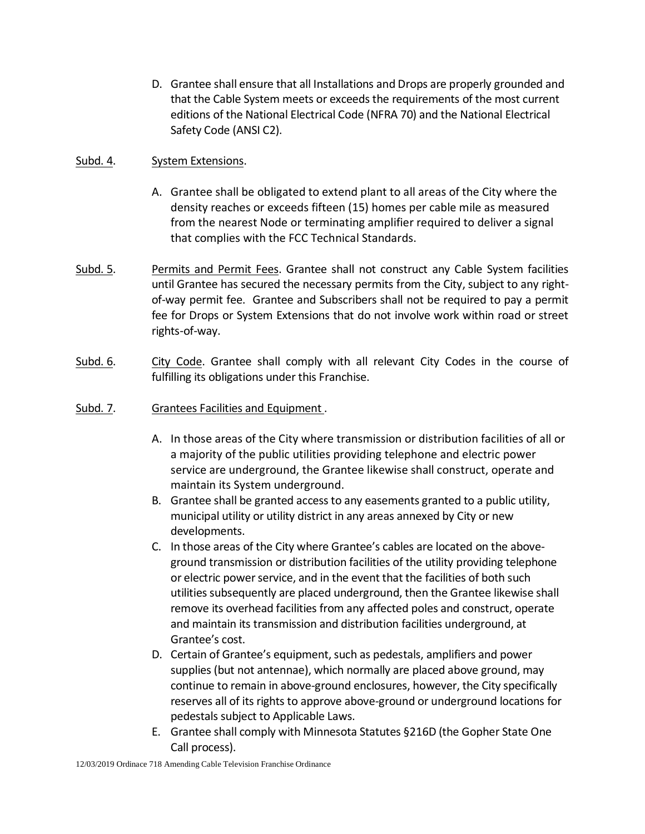D. Grantee shall ensure that all Installations and Drops are properly grounded and that the Cable System meets or exceeds the requirements of the most current editions of the National Electrical Code (NFRA 70) and the National Electrical Safety Code (ANSI C2).

### Subd. 4. System Extensions.

- A. Grantee shall be obligated to extend plant to all areas of the City where the density reaches or exceeds fifteen (15) homes per cable mile as measured from the nearest Node or terminating amplifier required to deliver a signal that complies with the FCC Technical Standards.
- Subd. 5. Permits and Permit Fees. Grantee shall not construct any Cable System facilities until Grantee has secured the necessary permits from the City, subject to any rightof-way permit fee. Grantee and Subscribers shall not be required to pay a permit fee for Drops or System Extensions that do not involve work within road or street rights-of-way.
- Subd. 6. City Code. Grantee shall comply with all relevant City Codes in the course of fulfilling its obligations under this Franchise.
- Subd. 7. Grantees Facilities and Equipment.
	- A. In those areas of the City where transmission or distribution facilities of all or a majority of the public utilities providing telephone and electric power service are underground, the Grantee likewise shall construct, operate and maintain its System underground.
	- B. Grantee shall be granted access to any easements granted to a public utility, municipal utility or utility district in any areas annexed by City or new developments.
	- C. In those areas of the City where Grantee's cables are located on the aboveground transmission or distribution facilities of the utility providing telephone or electric power service, and in the event that the facilities of both such utilities subsequently are placed underground, then the Grantee likewise shall remove its overhead facilities from any affected poles and construct, operate and maintain its transmission and distribution facilities underground, at Grantee's cost.
	- D. Certain of Grantee's equipment, such as pedestals, amplifiers and power supplies (but not antennae), which normally are placed above ground, may continue to remain in above-ground enclosures, however, the City specifically reserves all of its rights to approve above-ground or underground locations for pedestals subject to Applicable Laws.
	- E. Grantee shall comply with Minnesota Statutes §216D (the Gopher State One Call process).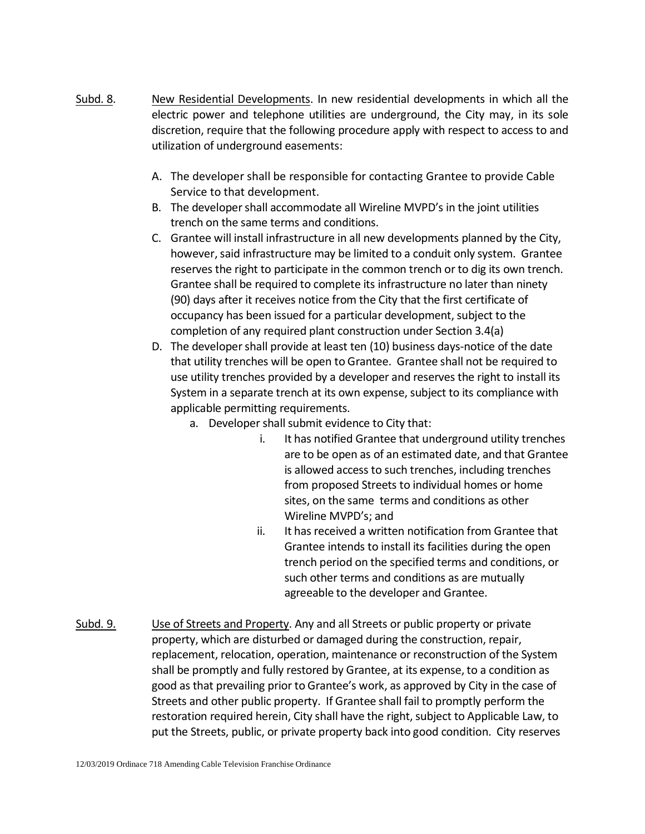- Subd. 8. New Residential Developments. In new residential developments in which all the electric power and telephone utilities are underground, the City may, in its sole discretion, require that the following procedure apply with respect to access to and utilization of underground easements:
	- A. The developer shall be responsible for contacting Grantee to provide Cable Service to that development.
	- B. The developer shall accommodate all Wireline MVPD's in the joint utilities trench on the same terms and conditions.
	- C. Grantee will install infrastructure in all new developments planned by the City, however, said infrastructure may be limited to a conduit only system. Grantee reserves the right to participate in the common trench or to dig its own trench. Grantee shall be required to complete its infrastructure no later than ninety (90) days after it receives notice from the City that the first certificate of occupancy has been issued for a particular development, subject to the completion of any required plant construction under Section 3.4(a)
	- D. The developer shall provide at least ten (10) business days-notice of the date that utility trenches will be open to Grantee. Grantee shall not be required to use utility trenches provided by a developer and reserves the right to install its System in a separate trench at its own expense, subject to its compliance with applicable permitting requirements.
		- a. Developer shall submit evidence to City that:
			- i. It has notified Grantee that underground utility trenches are to be open as of an estimated date, and that Grantee is allowed access to such trenches, including trenches from proposed Streets to individual homes or home sites, on the same terms and conditions as other Wireline MVPD's; and
			- ii. It has received a written notification from Grantee that Grantee intends to install its facilities during the open trench period on the specified terms and conditions, or such other terms and conditions as are mutually agreeable to the developer and Grantee.
- Subd. 9. Use of Streets and Property. Any and all Streets or public property or private property, which are disturbed or damaged during the construction, repair, replacement, relocation, operation, maintenance or reconstruction of the System shall be promptly and fully restored by Grantee, at its expense, to a condition as good as that prevailing prior to Grantee's work, as approved by City in the case of Streets and other public property. If Grantee shall fail to promptly perform the restoration required herein, City shall have the right, subject to Applicable Law, to put the Streets, public, or private property back into good condition. City reserves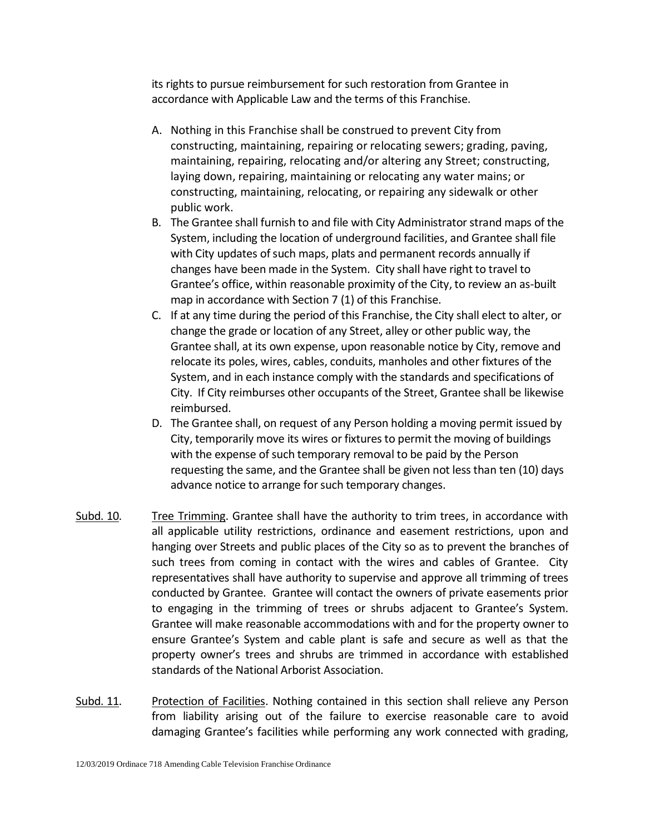its rights to pursue reimbursement for such restoration from Grantee in accordance with Applicable Law and the terms of this Franchise.

- A. Nothing in this Franchise shall be construed to prevent City from constructing, maintaining, repairing or relocating sewers; grading, paving, maintaining, repairing, relocating and/or altering any Street; constructing, laying down, repairing, maintaining or relocating any water mains; or constructing, maintaining, relocating, or repairing any sidewalk or other public work.
- B. The Grantee shall furnish to and file with City Administrator strand maps of the System, including the location of underground facilities, and Grantee shall file with City updates of such maps, plats and permanent records annually if changes have been made in the System. City shall have right to travel to Grantee's office, within reasonable proximity of the City, to review an as-built map in accordance with Section 7 (1) of this Franchise.
- C. If at any time during the period of this Franchise, the City shall elect to alter, or change the grade or location of any Street, alley or other public way, the Grantee shall, at its own expense, upon reasonable notice by City, remove and relocate its poles, wires, cables, conduits, manholes and other fixtures of the System, and in each instance comply with the standards and specifications of City. If City reimburses other occupants of the Street, Grantee shall be likewise reimbursed.
- D. The Grantee shall, on request of any Person holding a moving permit issued by City, temporarily move its wires or fixtures to permit the moving of buildings with the expense of such temporary removal to be paid by the Person requesting the same, and the Grantee shall be given not less than ten (10) days advance notice to arrange for such temporary changes.
- Subd. 10. Tree Trimming. Grantee shall have the authority to trim trees, in accordance with all applicable utility restrictions, ordinance and easement restrictions, upon and hanging over Streets and public places of the City so as to prevent the branches of such trees from coming in contact with the wires and cables of Grantee. City representatives shall have authority to supervise and approve all trimming of trees conducted by Grantee. Grantee will contact the owners of private easements prior to engaging in the trimming of trees or shrubs adjacent to Grantee's System. Grantee will make reasonable accommodations with and for the property owner to ensure Grantee's System and cable plant is safe and secure as well as that the property owner's trees and shrubs are trimmed in accordance with established standards of the National Arborist Association.
- Subd. 11. Protection of Facilities. Nothing contained in this section shall relieve any Person from liability arising out of the failure to exercise reasonable care to avoid damaging Grantee's facilities while performing any work connected with grading,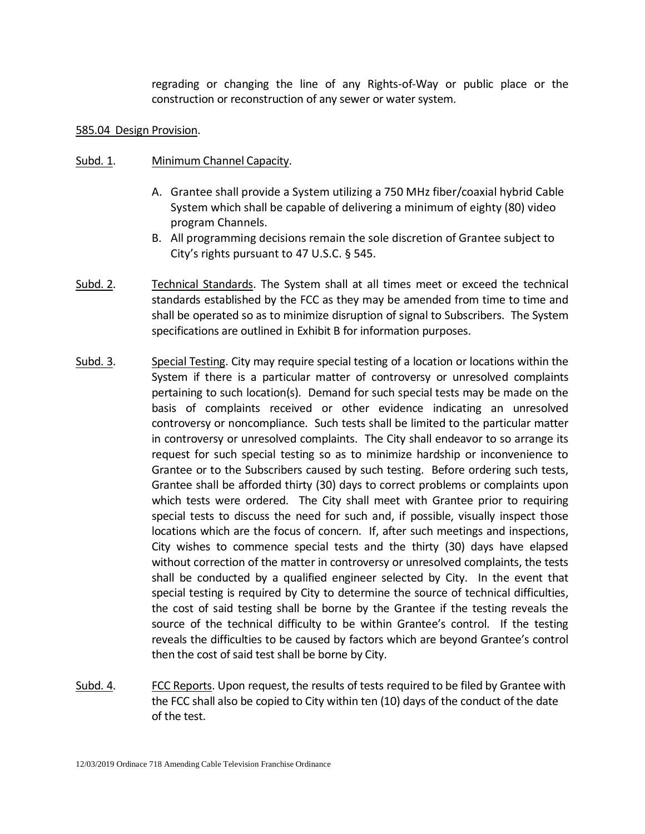regrading or changing the line of any Rights-of-Way or public place or the construction or reconstruction of any sewer or water system.

### 585.04 Design Provision.

### Subd. 1. Minimum Channel Capacity.

- A. Grantee shall provide a System utilizing a 750 MHz fiber/coaxial hybrid Cable System which shall be capable of delivering a minimum of eighty (80) video program Channels.
- B. All programming decisions remain the sole discretion of Grantee subject to City's rights pursuant to 47 U.S.C. § 545.
- Subd. 2. Technical Standards. The System shall at all times meet or exceed the technical standards established by the FCC as they may be amended from time to time and shall be operated so as to minimize disruption of signal to Subscribers. The System specifications are outlined in Exhibit B for information purposes.
- Subd. 3. Special Testing. City may require special testing of a location or locations within the System if there is a particular matter of controversy or unresolved complaints pertaining to such location(s). Demand for such special tests may be made on the basis of complaints received or other evidence indicating an unresolved controversy or noncompliance. Such tests shall be limited to the particular matter in controversy or unresolved complaints. The City shall endeavor to so arrange its request for such special testing so as to minimize hardship or inconvenience to Grantee or to the Subscribers caused by such testing. Before ordering such tests, Grantee shall be afforded thirty (30) days to correct problems or complaints upon which tests were ordered. The City shall meet with Grantee prior to requiring special tests to discuss the need for such and, if possible, visually inspect those locations which are the focus of concern. If, after such meetings and inspections, City wishes to commence special tests and the thirty (30) days have elapsed without correction of the matter in controversy or unresolved complaints, the tests shall be conducted by a qualified engineer selected by City. In the event that special testing is required by City to determine the source of technical difficulties, the cost of said testing shall be borne by the Grantee if the testing reveals the source of the technical difficulty to be within Grantee's control. If the testing reveals the difficulties to be caused by factors which are beyond Grantee's control then the cost of said test shall be borne by City.
- Subd. 4. FCC Reports. Upon request, the results of tests required to be filed by Grantee with the FCC shall also be copied to City within ten (10) days of the conduct of the date of the test.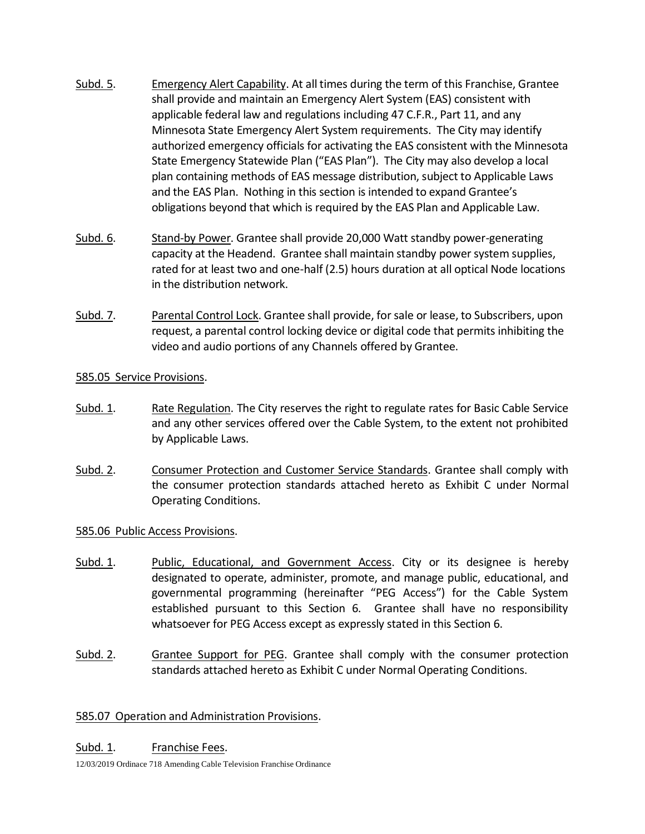- Subd. 5. Emergency Alert Capability. At all times during the term of this Franchise, Grantee shall provide and maintain an Emergency Alert System (EAS) consistent with applicable federal law and regulations including 47 C.F.R., Part 11, and any Minnesota State Emergency Alert System requirements. The City may identify authorized emergency officials for activating the EAS consistent with the Minnesota State Emergency Statewide Plan ("EAS Plan"). The City may also develop a local plan containing methods of EAS message distribution, subject to Applicable Laws and the EAS Plan. Nothing in this section is intended to expand Grantee's obligations beyond that which is required by the EAS Plan and Applicable Law.
- Subd. 6. Stand-by Power. Grantee shall provide 20,000 Watt standby power-generating capacity at the Headend. Grantee shall maintain standby power system supplies, rated for at least two and one-half (2.5) hours duration at all optical Node locations in the distribution network.
- Subd. 7. Parental Control Lock. Grantee shall provide, for sale or lease, to Subscribers, upon request, a parental control locking device or digital code that permits inhibiting the video and audio portions of any Channels offered by Grantee.

## 585.05 Service Provisions.

- Subd. 1. Rate Regulation. The City reserves the right to regulate rates for Basic Cable Service and any other services offered over the Cable System, to the extent not prohibited by Applicable Laws.
- Subd. 2. Consumer Protection and Customer Service Standards. Grantee shall comply with the consumer protection standards attached hereto as Exhibit C under Normal Operating Conditions.

## 585.06 Public Access Provisions.

- Subd. 1. Public, Educational, and Government Access. City or its designee is hereby designated to operate, administer, promote, and manage public, educational, and governmental programming (hereinafter "PEG Access") for the Cable System established pursuant to this Section 6. Grantee shall have no responsibility whatsoever for PEG Access except as expressly stated in this Section 6.
- Subd. 2. Grantee Support for PEG. Grantee shall comply with the consumer protection standards attached hereto as Exhibit C under Normal Operating Conditions.

# 585.07 Operation and Administration Provisions.

Subd. 1. Franchise Fees.

12/03/2019 Ordinace 718 Amending Cable Television Franchise Ordinance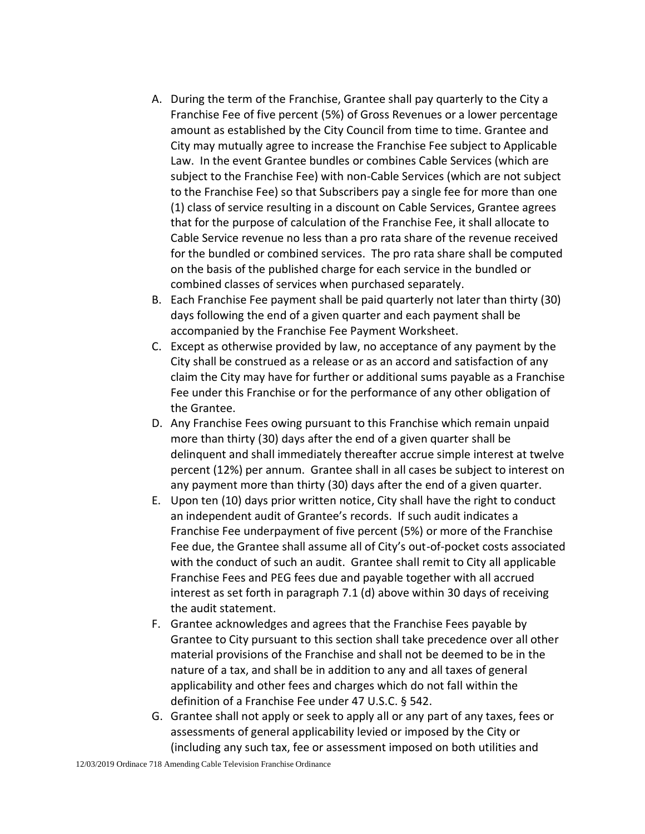- A. During the term of the Franchise, Grantee shall pay quarterly to the City a Franchise Fee of five percent (5%) of Gross Revenues or a lower percentage amount as established by the City Council from time to time. Grantee and City may mutually agree to increase the Franchise Fee subject to Applicable Law. In the event Grantee bundles or combines Cable Services (which are subject to the Franchise Fee) with non-Cable Services (which are not subject to the Franchise Fee) so that Subscribers pay a single fee for more than one (1) class of service resulting in a discount on Cable Services, Grantee agrees that for the purpose of calculation of the Franchise Fee, it shall allocate to Cable Service revenue no less than a pro rata share of the revenue received for the bundled or combined services. The pro rata share shall be computed on the basis of the published charge for each service in the bundled or combined classes of services when purchased separately.
- B. Each Franchise Fee payment shall be paid quarterly not later than thirty (30) days following the end of a given quarter and each payment shall be accompanied by the Franchise Fee Payment Worksheet.
- C. Except as otherwise provided by law, no acceptance of any payment by the City shall be construed as a release or as an accord and satisfaction of any claim the City may have for further or additional sums payable as a Franchise Fee under this Franchise or for the performance of any other obligation of the Grantee.
- D. Any Franchise Fees owing pursuant to this Franchise which remain unpaid more than thirty (30) days after the end of a given quarter shall be delinquent and shall immediately thereafter accrue simple interest at twelve percent (12%) per annum. Grantee shall in all cases be subject to interest on any payment more than thirty (30) days after the end of a given quarter.
- E. Upon ten (10) days prior written notice, City shall have the right to conduct an independent audit of Grantee's records. If such audit indicates a Franchise Fee underpayment of five percent (5%) or more of the Franchise Fee due, the Grantee shall assume all of City's out-of-pocket costs associated with the conduct of such an audit. Grantee shall remit to City all applicable Franchise Fees and PEG fees due and payable together with all accrued interest as set forth in paragraph 7.1 (d) above within 30 days of receiving the audit statement.
- F. Grantee acknowledges and agrees that the Franchise Fees payable by Grantee to City pursuant to this section shall take precedence over all other material provisions of the Franchise and shall not be deemed to be in the nature of a tax, and shall be in addition to any and all taxes of general applicability and other fees and charges which do not fall within the definition of a Franchise Fee under 47 U.S.C. § 542.
- G. Grantee shall not apply or seek to apply all or any part of any taxes, fees or assessments of general applicability levied or imposed by the City or (including any such tax, fee or assessment imposed on both utilities and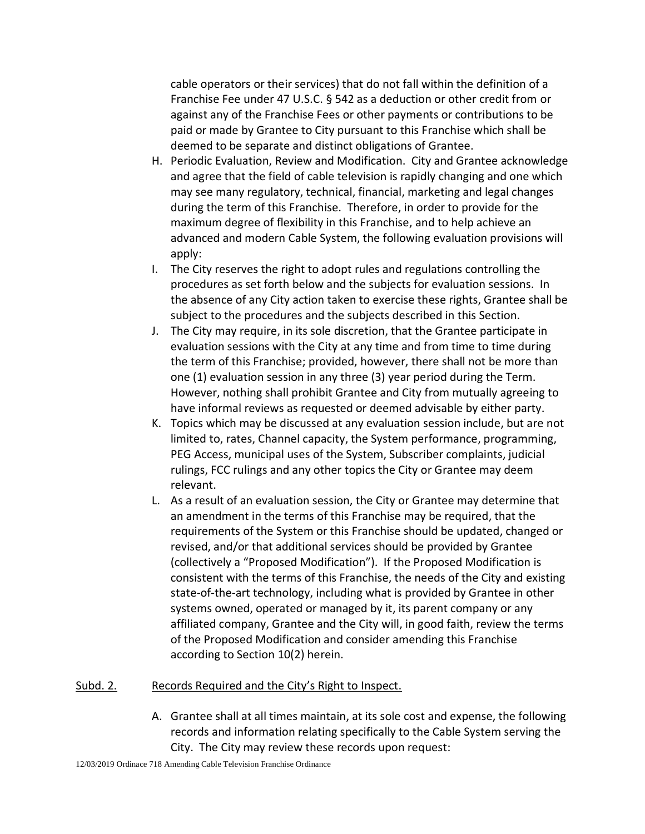cable operators or their services) that do not fall within the definition of a Franchise Fee under 47 U.S.C. § 542 as a deduction or other credit from or against any of the Franchise Fees or other payments or contributions to be paid or made by Grantee to City pursuant to this Franchise which shall be deemed to be separate and distinct obligations of Grantee.

- H. Periodic Evaluation, Review and Modification. City and Grantee acknowledge and agree that the field of cable television is rapidly changing and one which may see many regulatory, technical, financial, marketing and legal changes during the term of this Franchise. Therefore, in order to provide for the maximum degree of flexibility in this Franchise, and to help achieve an advanced and modern Cable System, the following evaluation provisions will apply:
- I. The City reserves the right to adopt rules and regulations controlling the procedures as set forth below and the subjects for evaluation sessions. In the absence of any City action taken to exercise these rights, Grantee shall be subject to the procedures and the subjects described in this Section.
- J. The City may require, in its sole discretion, that the Grantee participate in evaluation sessions with the City at any time and from time to time during the term of this Franchise; provided, however, there shall not be more than one (1) evaluation session in any three (3) year period during the Term. However, nothing shall prohibit Grantee and City from mutually agreeing to have informal reviews as requested or deemed advisable by either party.
- K. Topics which may be discussed at any evaluation session include, but are not limited to, rates, Channel capacity, the System performance, programming, PEG Access, municipal uses of the System, Subscriber complaints, judicial rulings, FCC rulings and any other topics the City or Grantee may deem relevant.
- L. As a result of an evaluation session, the City or Grantee may determine that an amendment in the terms of this Franchise may be required, that the requirements of the System or this Franchise should be updated, changed or revised, and/or that additional services should be provided by Grantee (collectively a "Proposed Modification"). If the Proposed Modification is consistent with the terms of this Franchise, the needs of the City and existing state-of-the-art technology, including what is provided by Grantee in other systems owned, operated or managed by it, its parent company or any affiliated company, Grantee and the City will, in good faith, review the terms of the Proposed Modification and consider amending this Franchise according to Section 10(2) herein.

## Subd. 2. Records Required and the City's Right to Inspect.

A. Grantee shall at all times maintain, at its sole cost and expense, the following records and information relating specifically to the Cable System serving the City. The City may review these records upon request: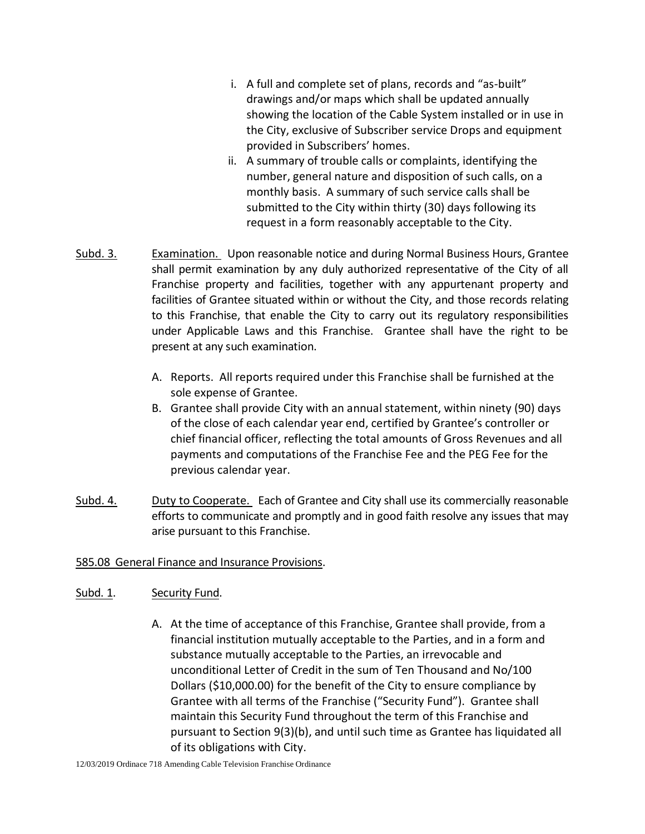- i. A full and complete set of plans, records and "as-built" drawings and/or maps which shall be updated annually showing the location of the Cable System installed or in use in the City, exclusive of Subscriber service Drops and equipment provided in Subscribers' homes.
- ii. A summary of trouble calls or complaints, identifying the number, general nature and disposition of such calls, on a monthly basis. A summary of such service calls shall be submitted to the City within thirty (30) days following its request in a form reasonably acceptable to the City.
- Subd. 3. Examination. Upon reasonable notice and during Normal Business Hours, Grantee shall permit examination by any duly authorized representative of the City of all Franchise property and facilities, together with any appurtenant property and facilities of Grantee situated within or without the City, and those records relating to this Franchise, that enable the City to carry out its regulatory responsibilities under Applicable Laws and this Franchise. Grantee shall have the right to be present at any such examination.
	- A. Reports. All reports required under this Franchise shall be furnished at the sole expense of Grantee.
	- B. Grantee shall provide City with an annual statement, within ninety (90) days of the close of each calendar year end, certified by Grantee's controller or chief financial officer, reflecting the total amounts of Gross Revenues and all payments and computations of the Franchise Fee and the PEG Fee for the previous calendar year.
- Subd. 4. Duty to Cooperate. Each of Grantee and City shall use its commercially reasonable efforts to communicate and promptly and in good faith resolve any issues that may arise pursuant to this Franchise.

## 585.08 General Finance and Insurance Provisions.

## Subd. 1. Security Fund.

A. At the time of acceptance of this Franchise, Grantee shall provide, from a financial institution mutually acceptable to the Parties, and in a form and substance mutually acceptable to the Parties, an irrevocable and unconditional Letter of Credit in the sum of Ten Thousand and No/100 Dollars (\$10,000.00) for the benefit of the City to ensure compliance by Grantee with all terms of the Franchise ("Security Fund"). Grantee shall maintain this Security Fund throughout the term of this Franchise and pursuant to Section 9(3)(b), and until such time as Grantee has liquidated all of its obligations with City.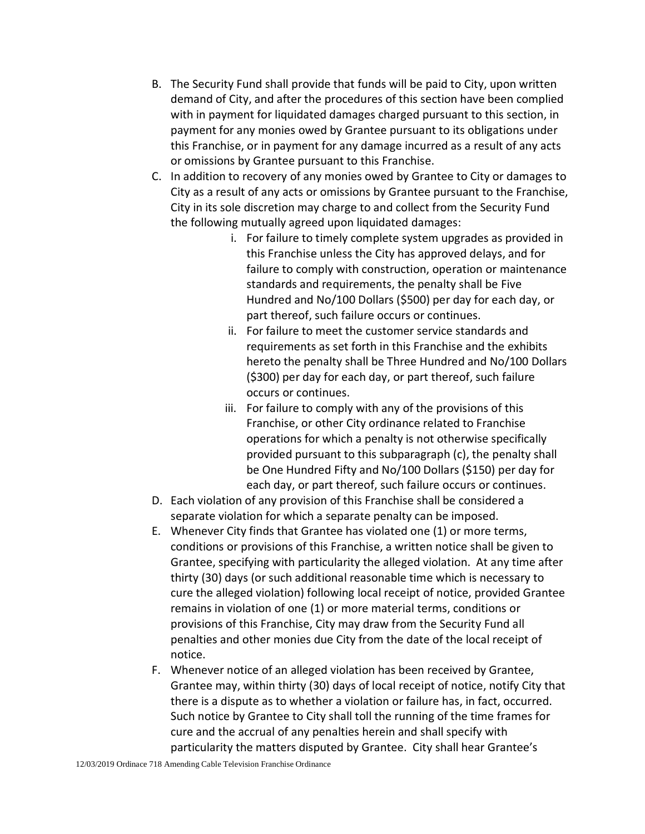- B. The Security Fund shall provide that funds will be paid to City, upon written demand of City, and after the procedures of this section have been complied with in payment for liquidated damages charged pursuant to this section, in payment for any monies owed by Grantee pursuant to its obligations under this Franchise, or in payment for any damage incurred as a result of any acts or omissions by Grantee pursuant to this Franchise.
- C. In addition to recovery of any monies owed by Grantee to City or damages to City as a result of any acts or omissions by Grantee pursuant to the Franchise, City in its sole discretion may charge to and collect from the Security Fund the following mutually agreed upon liquidated damages:
	- i. For failure to timely complete system upgrades as provided in this Franchise unless the City has approved delays, and for failure to comply with construction, operation or maintenance standards and requirements, the penalty shall be Five Hundred and No/100 Dollars (\$500) per day for each day, or part thereof, such failure occurs or continues.
	- ii. For failure to meet the customer service standards and requirements as set forth in this Franchise and the exhibits hereto the penalty shall be Three Hundred and No/100 Dollars (\$300) per day for each day, or part thereof, such failure occurs or continues.
	- iii. For failure to comply with any of the provisions of this Franchise, or other City ordinance related to Franchise operations for which a penalty is not otherwise specifically provided pursuant to this subparagraph (c), the penalty shall be One Hundred Fifty and No/100 Dollars (\$150) per day for each day, or part thereof, such failure occurs or continues.
- D. Each violation of any provision of this Franchise shall be considered a separate violation for which a separate penalty can be imposed.
- E. Whenever City finds that Grantee has violated one (1) or more terms, conditions or provisions of this Franchise, a written notice shall be given to Grantee, specifying with particularity the alleged violation. At any time after thirty (30) days (or such additional reasonable time which is necessary to cure the alleged violation) following local receipt of notice, provided Grantee remains in violation of one (1) or more material terms, conditions or provisions of this Franchise, City may draw from the Security Fund all penalties and other monies due City from the date of the local receipt of notice.
- F. Whenever notice of an alleged violation has been received by Grantee, Grantee may, within thirty (30) days of local receipt of notice, notify City that there is a dispute as to whether a violation or failure has, in fact, occurred. Such notice by Grantee to City shall toll the running of the time frames for cure and the accrual of any penalties herein and shall specify with particularity the matters disputed by Grantee. City shall hear Grantee's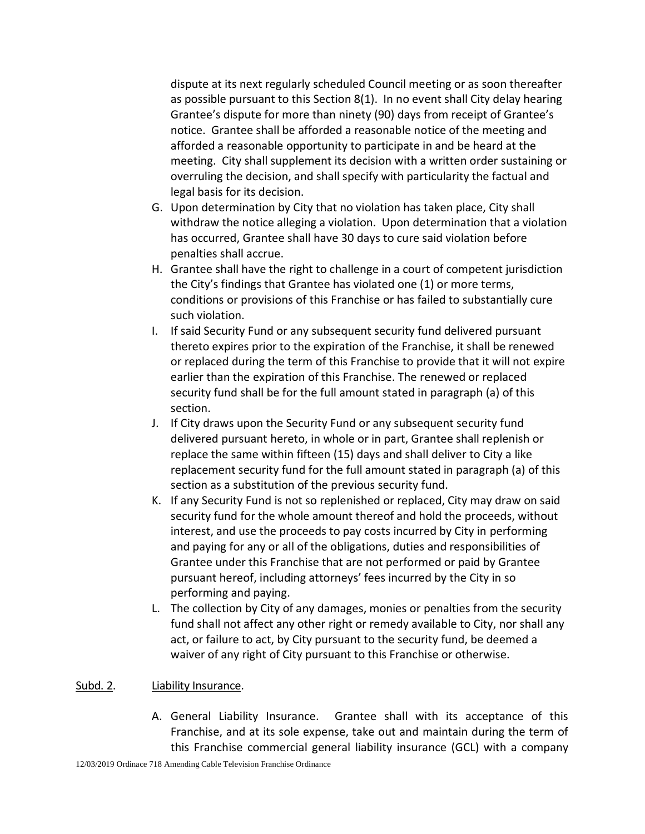dispute at its next regularly scheduled Council meeting or as soon thereafter as possible pursuant to this Section 8(1). In no event shall City delay hearing Grantee's dispute for more than ninety (90) days from receipt of Grantee's notice. Grantee shall be afforded a reasonable notice of the meeting and afforded a reasonable opportunity to participate in and be heard at the meeting. City shall supplement its decision with a written order sustaining or overruling the decision, and shall specify with particularity the factual and legal basis for its decision.

- G. Upon determination by City that no violation has taken place, City shall withdraw the notice alleging a violation. Upon determination that a violation has occurred, Grantee shall have 30 days to cure said violation before penalties shall accrue.
- H. Grantee shall have the right to challenge in a court of competent jurisdiction the City's findings that Grantee has violated one (1) or more terms, conditions or provisions of this Franchise or has failed to substantially cure such violation.
- I. If said Security Fund or any subsequent security fund delivered pursuant thereto expires prior to the expiration of the Franchise, it shall be renewed or replaced during the term of this Franchise to provide that it will not expire earlier than the expiration of this Franchise. The renewed or replaced security fund shall be for the full amount stated in paragraph (a) of this section.
- J. If City draws upon the Security Fund or any subsequent security fund delivered pursuant hereto, in whole or in part, Grantee shall replenish or replace the same within fifteen (15) days and shall deliver to City a like replacement security fund for the full amount stated in paragraph (a) of this section as a substitution of the previous security fund.
- K. If any Security Fund is not so replenished or replaced, City may draw on said security fund for the whole amount thereof and hold the proceeds, without interest, and use the proceeds to pay costs incurred by City in performing and paying for any or all of the obligations, duties and responsibilities of Grantee under this Franchise that are not performed or paid by Grantee pursuant hereof, including attorneys' fees incurred by the City in so performing and paying.
- L. The collection by City of any damages, monies or penalties from the security fund shall not affect any other right or remedy available to City, nor shall any act, or failure to act, by City pursuant to the security fund, be deemed a waiver of any right of City pursuant to this Franchise or otherwise.

## Subd. 2. Liability Insurance.

A. General Liability Insurance. Grantee shall with its acceptance of this Franchise, and at its sole expense, take out and maintain during the term of this Franchise commercial general liability insurance (GCL) with a company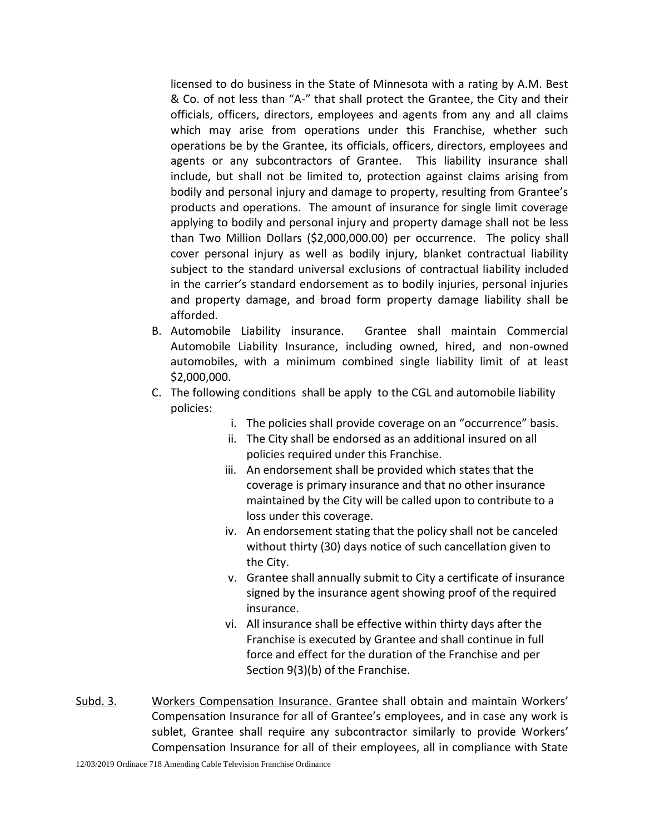licensed to do business in the State of Minnesota with a rating by A.M. Best & Co. of not less than "A-" that shall protect the Grantee, the City and their officials, officers, directors, employees and agents from any and all claims which may arise from operations under this Franchise, whether such operations be by the Grantee, its officials, officers, directors, employees and agents or any subcontractors of Grantee. This liability insurance shall include, but shall not be limited to, protection against claims arising from bodily and personal injury and damage to property, resulting from Grantee's products and operations. The amount of insurance for single limit coverage applying to bodily and personal injury and property damage shall not be less than Two Million Dollars (\$2,000,000.00) per occurrence. The policy shall cover personal injury as well as bodily injury, blanket contractual liability subject to the standard universal exclusions of contractual liability included in the carrier's standard endorsement as to bodily injuries, personal injuries and property damage, and broad form property damage liability shall be afforded.

- B. Automobile Liability insurance. Grantee shall maintain Commercial Automobile Liability Insurance, including owned, hired, and non-owned automobiles, with a minimum combined single liability limit of at least \$2,000,000.
- C. The following conditions shall be apply to the CGL and automobile liability policies:
	- i. The policies shall provide coverage on an "occurrence" basis.
	- ii. The City shall be endorsed as an additional insured on all policies required under this Franchise.
	- iii. An endorsement shall be provided which states that the coverage is primary insurance and that no other insurance maintained by the City will be called upon to contribute to a loss under this coverage.
	- iv. An endorsement stating that the policy shall not be canceled without thirty (30) days notice of such cancellation given to the City.
	- v. Grantee shall annually submit to City a certificate of insurance signed by the insurance agent showing proof of the required insurance.
	- vi. All insurance shall be effective within thirty days after the Franchise is executed by Grantee and shall continue in full force and effect for the duration of the Franchise and per Section 9(3)(b) of the Franchise.
- Subd. 3. Workers Compensation Insurance. Grantee shall obtain and maintain Workers' Compensation Insurance for all of Grantee's employees, and in case any work is sublet, Grantee shall require any subcontractor similarly to provide Workers' Compensation Insurance for all of their employees, all in compliance with State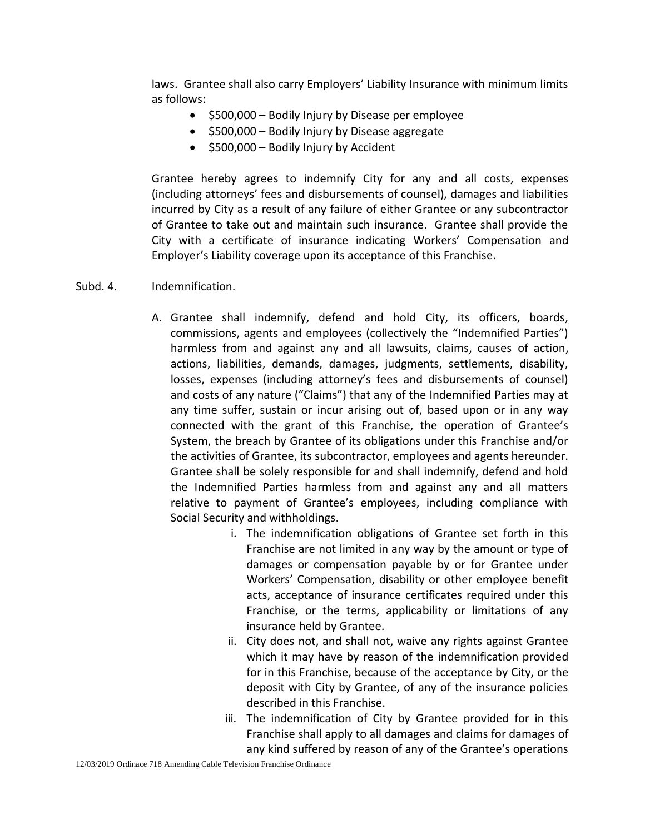laws. Grantee shall also carry Employers' Liability Insurance with minimum limits as follows:

- $\bullet$  \$500,000 Bodily Injury by Disease per employee
- $\bullet$  \$500,000 Bodily Injury by Disease aggregate
- **•** \$500,000 Bodily Injury by Accident

Grantee hereby agrees to indemnify City for any and all costs, expenses (including attorneys' fees and disbursements of counsel), damages and liabilities incurred by City as a result of any failure of either Grantee or any subcontractor of Grantee to take out and maintain such insurance. Grantee shall provide the City with a certificate of insurance indicating Workers' Compensation and Employer's Liability coverage upon its acceptance of this Franchise.

### Subd. 4. Indemnification.

- A. Grantee shall indemnify, defend and hold City, its officers, boards, commissions, agents and employees (collectively the "Indemnified Parties") harmless from and against any and all lawsuits, claims, causes of action, actions, liabilities, demands, damages, judgments, settlements, disability, losses, expenses (including attorney's fees and disbursements of counsel) and costs of any nature ("Claims") that any of the Indemnified Parties may at any time suffer, sustain or incur arising out of, based upon or in any way connected with the grant of this Franchise, the operation of Grantee's System, the breach by Grantee of its obligations under this Franchise and/or the activities of Grantee, its subcontractor, employees and agents hereunder. Grantee shall be solely responsible for and shall indemnify, defend and hold the Indemnified Parties harmless from and against any and all matters relative to payment of Grantee's employees, including compliance with Social Security and withholdings.
	- i. The indemnification obligations of Grantee set forth in this Franchise are not limited in any way by the amount or type of damages or compensation payable by or for Grantee under Workers' Compensation, disability or other employee benefit acts, acceptance of insurance certificates required under this Franchise, or the terms, applicability or limitations of any insurance held by Grantee.
	- ii. City does not, and shall not, waive any rights against Grantee which it may have by reason of the indemnification provided for in this Franchise, because of the acceptance by City, or the deposit with City by Grantee, of any of the insurance policies described in this Franchise.
	- iii. The indemnification of City by Grantee provided for in this Franchise shall apply to all damages and claims for damages of any kind suffered by reason of any of the Grantee's operations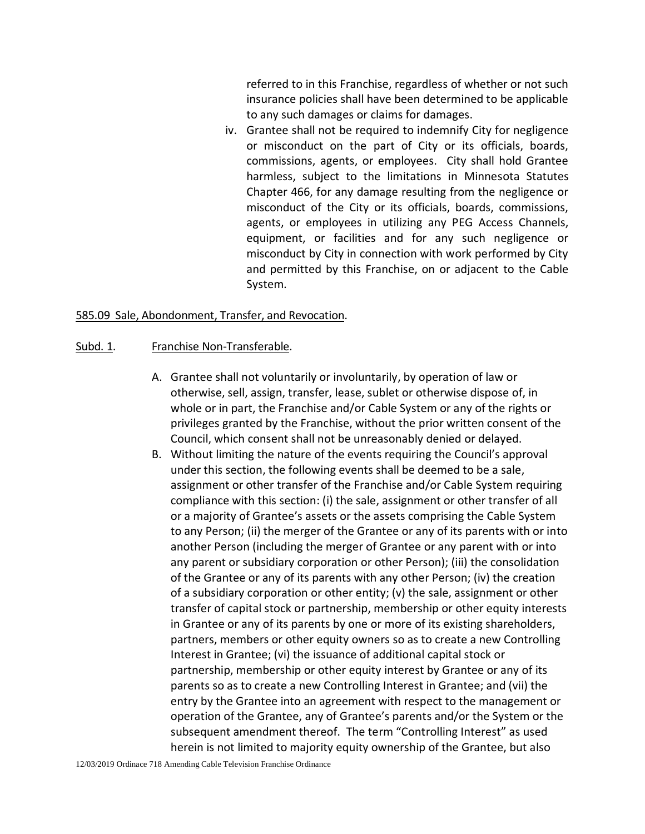referred to in this Franchise, regardless of whether or not such insurance policies shall have been determined to be applicable to any such damages or claims for damages.

iv. Grantee shall not be required to indemnify City for negligence or misconduct on the part of City or its officials, boards, commissions, agents, or employees. City shall hold Grantee harmless, subject to the limitations in Minnesota Statutes Chapter 466, for any damage resulting from the negligence or misconduct of the City or its officials, boards, commissions, agents, or employees in utilizing any PEG Access Channels, equipment, or facilities and for any such negligence or misconduct by City in connection with work performed by City and permitted by this Franchise, on or adjacent to the Cable System.

#### 585.09 Sale, Abondonment, Transfer, and Revocation.

#### Subd. 1. Franchise Non-Transferable.

- A. Grantee shall not voluntarily or involuntarily, by operation of law or otherwise, sell, assign, transfer, lease, sublet or otherwise dispose of, in whole or in part, the Franchise and/or Cable System or any of the rights or privileges granted by the Franchise, without the prior written consent of the Council, which consent shall not be unreasonably denied or delayed.
- B. Without limiting the nature of the events requiring the Council's approval under this section, the following events shall be deemed to be a sale, assignment or other transfer of the Franchise and/or Cable System requiring compliance with this section: (i) the sale, assignment or other transfer of all or a majority of Grantee's assets or the assets comprising the Cable System to any Person; (ii) the merger of the Grantee or any of its parents with or into another Person (including the merger of Grantee or any parent with or into any parent or subsidiary corporation or other Person); (iii) the consolidation of the Grantee or any of its parents with any other Person; (iv) the creation of a subsidiary corporation or other entity; (v) the sale, assignment or other transfer of capital stock or partnership, membership or other equity interests in Grantee or any of its parents by one or more of its existing shareholders, partners, members or other equity owners so as to create a new Controlling Interest in Grantee; (vi) the issuance of additional capital stock or partnership, membership or other equity interest by Grantee or any of its parents so as to create a new Controlling Interest in Grantee; and (vii) the entry by the Grantee into an agreement with respect to the management or operation of the Grantee, any of Grantee's parents and/or the System or the subsequent amendment thereof. The term "Controlling Interest" as used herein is not limited to majority equity ownership of the Grantee, but also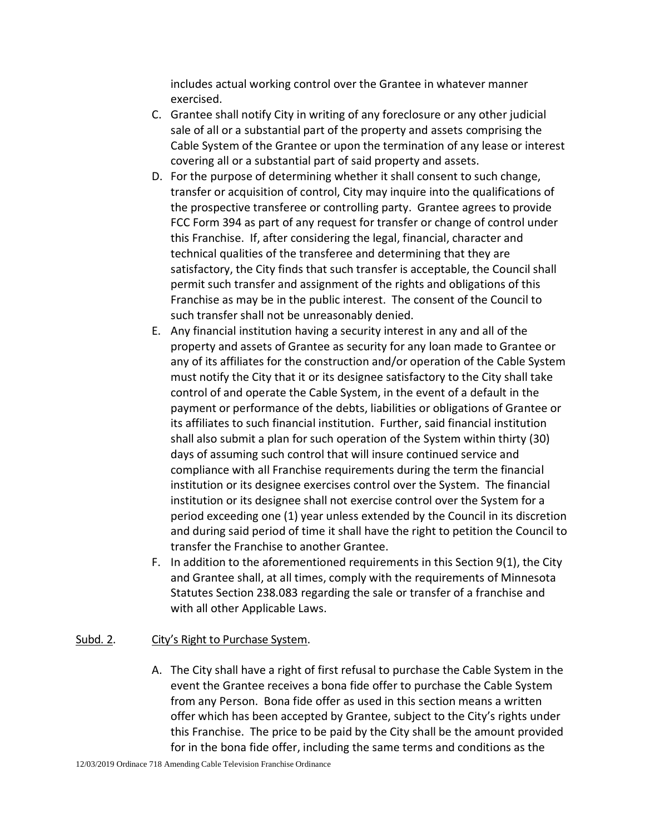includes actual working control over the Grantee in whatever manner exercised.

- C. Grantee shall notify City in writing of any foreclosure or any other judicial sale of all or a substantial part of the property and assets comprising the Cable System of the Grantee or upon the termination of any lease or interest covering all or a substantial part of said property and assets.
- D. For the purpose of determining whether it shall consent to such change, transfer or acquisition of control, City may inquire into the qualifications of the prospective transferee or controlling party. Grantee agrees to provide FCC Form 394 as part of any request for transfer or change of control under this Franchise. If, after considering the legal, financial, character and technical qualities of the transferee and determining that they are satisfactory, the City finds that such transfer is acceptable, the Council shall permit such transfer and assignment of the rights and obligations of this Franchise as may be in the public interest. The consent of the Council to such transfer shall not be unreasonably denied.
- E. Any financial institution having a security interest in any and all of the property and assets of Grantee as security for any loan made to Grantee or any of its affiliates for the construction and/or operation of the Cable System must notify the City that it or its designee satisfactory to the City shall take control of and operate the Cable System, in the event of a default in the payment or performance of the debts, liabilities or obligations of Grantee or its affiliates to such financial institution. Further, said financial institution shall also submit a plan for such operation of the System within thirty (30) days of assuming such control that will insure continued service and compliance with all Franchise requirements during the term the financial institution or its designee exercises control over the System. The financial institution or its designee shall not exercise control over the System for a period exceeding one (1) year unless extended by the Council in its discretion and during said period of time it shall have the right to petition the Council to transfer the Franchise to another Grantee.
- F. In addition to the aforementioned requirements in this Section 9(1), the City and Grantee shall, at all times, comply with the requirements of Minnesota Statutes Section 238.083 regarding the sale or transfer of a franchise and with all other Applicable Laws.

## Subd. 2. City's Right to Purchase System.

A. The City shall have a right of first refusal to purchase the Cable System in the event the Grantee receives a bona fide offer to purchase the Cable System from any Person. Bona fide offer as used in this section means a written offer which has been accepted by Grantee, subject to the City's rights under this Franchise. The price to be paid by the City shall be the amount provided for in the bona fide offer, including the same terms and conditions as the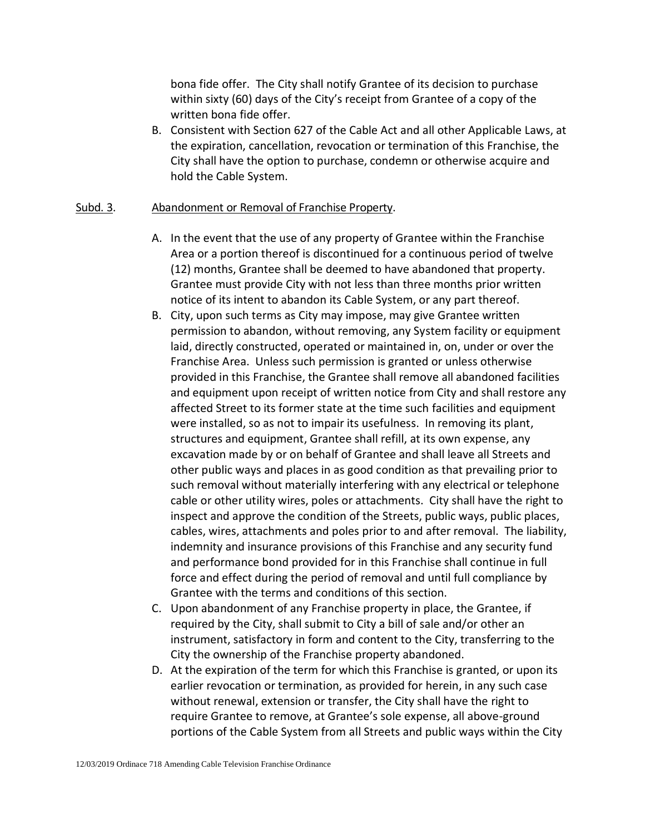bona fide offer. The City shall notify Grantee of its decision to purchase within sixty (60) days of the City's receipt from Grantee of a copy of the written bona fide offer.

B. Consistent with Section 627 of the Cable Act and all other Applicable Laws, at the expiration, cancellation, revocation or termination of this Franchise, the City shall have the option to purchase, condemn or otherwise acquire and hold the Cable System.

### Subd. 3. Abandonment or Removal of Franchise Property.

- A. In the event that the use of any property of Grantee within the Franchise Area or a portion thereof is discontinued for a continuous period of twelve (12) months, Grantee shall be deemed to have abandoned that property. Grantee must provide City with not less than three months prior written notice of its intent to abandon its Cable System, or any part thereof.
- B. City, upon such terms as City may impose, may give Grantee written permission to abandon, without removing, any System facility or equipment laid, directly constructed, operated or maintained in, on, under or over the Franchise Area. Unless such permission is granted or unless otherwise provided in this Franchise, the Grantee shall remove all abandoned facilities and equipment upon receipt of written notice from City and shall restore any affected Street to its former state at the time such facilities and equipment were installed, so as not to impair its usefulness. In removing its plant, structures and equipment, Grantee shall refill, at its own expense, any excavation made by or on behalf of Grantee and shall leave all Streets and other public ways and places in as good condition as that prevailing prior to such removal without materially interfering with any electrical or telephone cable or other utility wires, poles or attachments. City shall have the right to inspect and approve the condition of the Streets, public ways, public places, cables, wires, attachments and poles prior to and after removal. The liability, indemnity and insurance provisions of this Franchise and any security fund and performance bond provided for in this Franchise shall continue in full force and effect during the period of removal and until full compliance by Grantee with the terms and conditions of this section.
- C. Upon abandonment of any Franchise property in place, the Grantee, if required by the City, shall submit to City a bill of sale and/or other an instrument, satisfactory in form and content to the City, transferring to the City the ownership of the Franchise property abandoned.
- D. At the expiration of the term for which this Franchise is granted, or upon its earlier revocation or termination, as provided for herein, in any such case without renewal, extension or transfer, the City shall have the right to require Grantee to remove, at Grantee's sole expense, all above-ground portions of the Cable System from all Streets and public ways within the City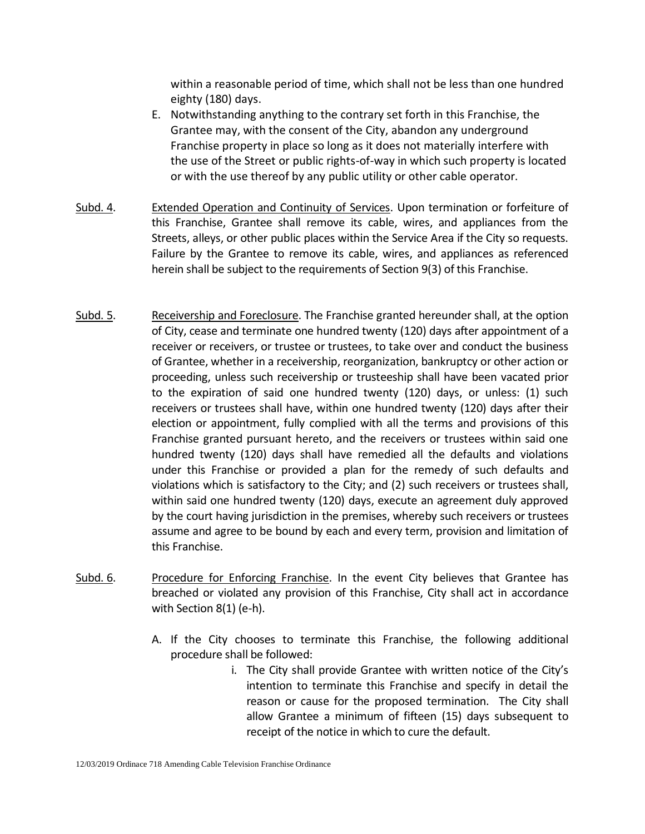within a reasonable period of time, which shall not be less than one hundred eighty (180) days.

- E. Notwithstanding anything to the contrary set forth in this Franchise, the Grantee may, with the consent of the City, abandon any underground Franchise property in place so long as it does not materially interfere with the use of the Street or public rights-of-way in which such property is located or with the use thereof by any public utility or other cable operator.
- Subd. 4. Extended Operation and Continuity of Services. Upon termination or forfeiture of this Franchise, Grantee shall remove its cable, wires, and appliances from the Streets, alleys, or other public places within the Service Area if the City so requests. Failure by the Grantee to remove its cable, wires, and appliances as referenced herein shall be subject to the requirements of Section 9(3) of this Franchise.
- Subd. 5. Receivership and Foreclosure. The Franchise granted hereunder shall, at the option of City, cease and terminate one hundred twenty (120) days after appointment of a receiver or receivers, or trustee or trustees, to take over and conduct the business of Grantee, whether in a receivership, reorganization, bankruptcy or other action or proceeding, unless such receivership or trusteeship shall have been vacated prior to the expiration of said one hundred twenty (120) days, or unless: (1) such receivers or trustees shall have, within one hundred twenty (120) days after their election or appointment, fully complied with all the terms and provisions of this Franchise granted pursuant hereto, and the receivers or trustees within said one hundred twenty (120) days shall have remedied all the defaults and violations under this Franchise or provided a plan for the remedy of such defaults and violations which is satisfactory to the City; and (2) such receivers or trustees shall, within said one hundred twenty (120) days, execute an agreement duly approved by the court having jurisdiction in the premises, whereby such receivers or trustees assume and agree to be bound by each and every term, provision and limitation of this Franchise.
- Subd. 6. Procedure for Enforcing Franchise. In the event City believes that Grantee has breached or violated any provision of this Franchise, City shall act in accordance with Section 8(1) (e-h).
	- A. If the City chooses to terminate this Franchise, the following additional procedure shall be followed:
		- i. The City shall provide Grantee with written notice of the City's intention to terminate this Franchise and specify in detail the reason or cause for the proposed termination. The City shall allow Grantee a minimum of fifteen (15) days subsequent to receipt of the notice in which to cure the default.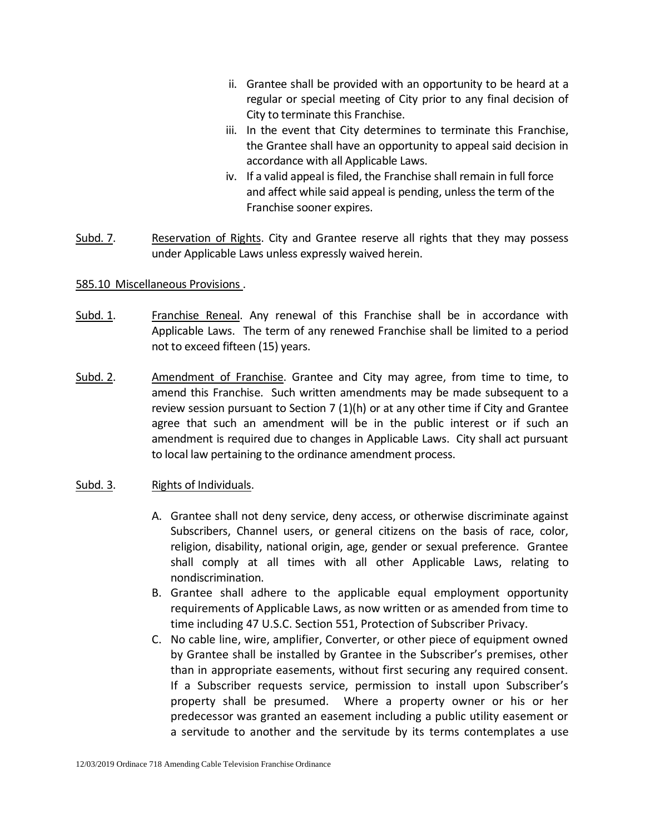- ii. Grantee shall be provided with an opportunity to be heard at a regular or special meeting of City prior to any final decision of City to terminate this Franchise.
- iii. In the event that City determines to terminate this Franchise, the Grantee shall have an opportunity to appeal said decision in accordance with all Applicable Laws.
- iv. If a valid appeal is filed, the Franchise shall remain in full force and affect while said appeal is pending, unless the term of the Franchise sooner expires.
- Subd. 7. Reservation of Rights. City and Grantee reserve all rights that they may possess under Applicable Laws unless expressly waived herein.

### 585.10 Miscellaneous Provisions .

- Subd. 1. Franchise Reneal. Any renewal of this Franchise shall be in accordance with Applicable Laws. The term of any renewed Franchise shall be limited to a period not to exceed fifteen (15) years.
- Subd. 2. Amendment of Franchise. Grantee and City may agree, from time to time, to amend this Franchise. Such written amendments may be made subsequent to a review session pursuant to Section 7  $(1)(h)$  or at any other time if City and Grantee agree that such an amendment will be in the public interest or if such an amendment is required due to changes in Applicable Laws. City shall act pursuant to local law pertaining to the ordinance amendment process.

### Subd. 3. Rights of Individuals.

- A. Grantee shall not deny service, deny access, or otherwise discriminate against Subscribers, Channel users, or general citizens on the basis of race, color, religion, disability, national origin, age, gender or sexual preference. Grantee shall comply at all times with all other Applicable Laws, relating to nondiscrimination.
- B. Grantee shall adhere to the applicable equal employment opportunity requirements of Applicable Laws, as now written or as amended from time to time including 47 U.S.C. Section 551, Protection of Subscriber Privacy.
- C. No cable line, wire, amplifier, Converter, or other piece of equipment owned by Grantee shall be installed by Grantee in the Subscriber's premises, other than in appropriate easements, without first securing any required consent. If a Subscriber requests service, permission to install upon Subscriber's property shall be presumed. Where a property owner or his or her predecessor was granted an easement including a public utility easement or a servitude to another and the servitude by its terms contemplates a use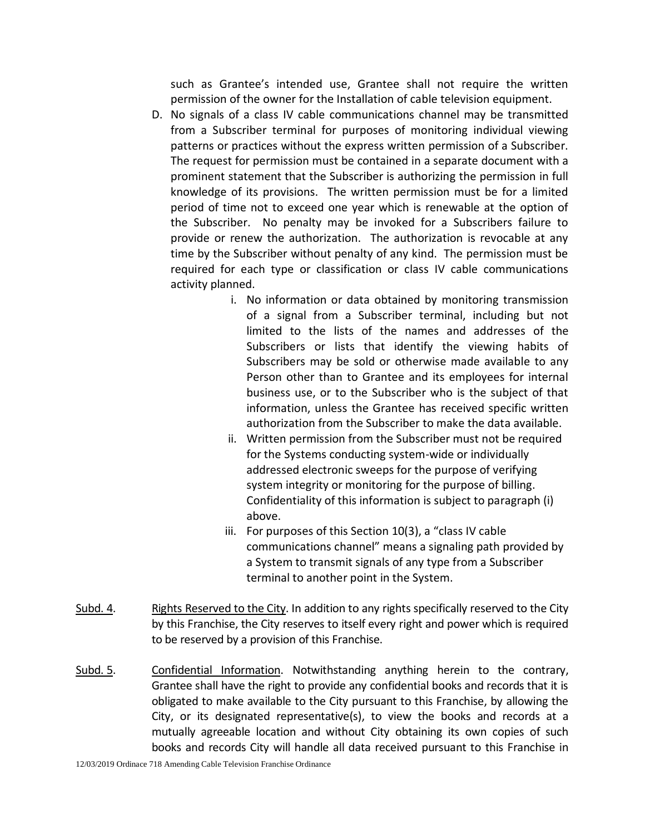such as Grantee's intended use, Grantee shall not require the written permission of the owner for the Installation of cable television equipment.

- D. No signals of a class IV cable communications channel may be transmitted from a Subscriber terminal for purposes of monitoring individual viewing patterns or practices without the express written permission of a Subscriber. The request for permission must be contained in a separate document with a prominent statement that the Subscriber is authorizing the permission in full knowledge of its provisions. The written permission must be for a limited period of time not to exceed one year which is renewable at the option of the Subscriber. No penalty may be invoked for a Subscribers failure to provide or renew the authorization. The authorization is revocable at any time by the Subscriber without penalty of any kind. The permission must be required for each type or classification or class IV cable communications activity planned.
	- i. No information or data obtained by monitoring transmission of a signal from a Subscriber terminal, including but not limited to the lists of the names and addresses of the Subscribers or lists that identify the viewing habits of Subscribers may be sold or otherwise made available to any Person other than to Grantee and its employees for internal business use, or to the Subscriber who is the subject of that information, unless the Grantee has received specific written authorization from the Subscriber to make the data available.
	- ii. Written permission from the Subscriber must not be required for the Systems conducting system-wide or individually addressed electronic sweeps for the purpose of verifying system integrity or monitoring for the purpose of billing. Confidentiality of this information is subject to paragraph (i) above.
	- iii. For purposes of this Section 10(3), a "class IV cable communications channel" means a signaling path provided by a System to transmit signals of any type from a Subscriber terminal to another point in the System.
- Subd. 4. Rights Reserved to the City. In addition to any rights specifically reserved to the City by this Franchise, the City reserves to itself every right and power which is required to be reserved by a provision of this Franchise.
- Subd. 5. Confidential Information. Notwithstanding anything herein to the contrary, Grantee shall have the right to provide any confidential books and records that it is obligated to make available to the City pursuant to this Franchise, by allowing the City, or its designated representative(s), to view the books and records at a mutually agreeable location and without City obtaining its own copies of such books and records City will handle all data received pursuant to this Franchise in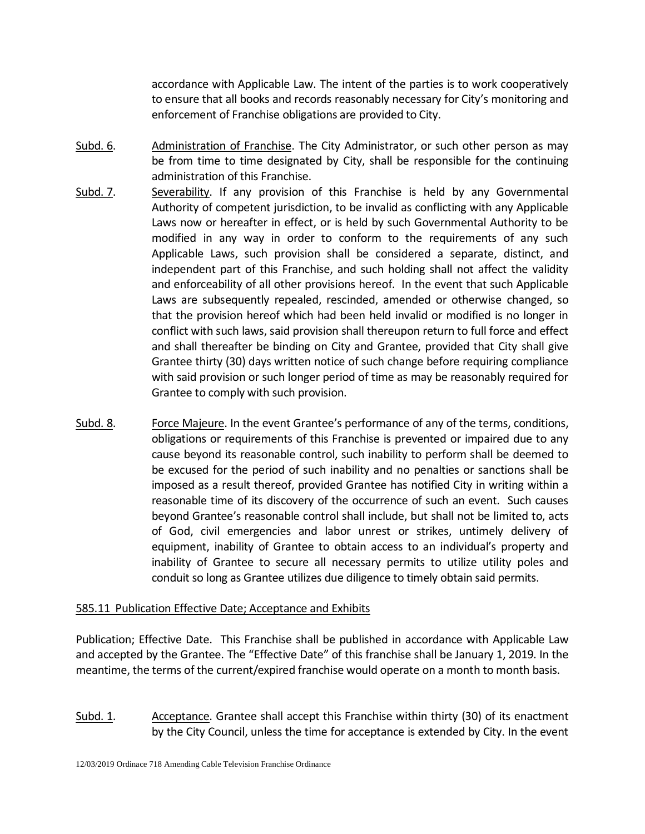accordance with Applicable Law. The intent of the parties is to work cooperatively to ensure that all books and records reasonably necessary for City's monitoring and enforcement of Franchise obligations are provided to City.

- Subd. 6. Administration of Franchise. The City Administrator, or such other person as may be from time to time designated by City, shall be responsible for the continuing administration of this Franchise.
- Subd. 7. Severability. If any provision of this Franchise is held by any Governmental Authority of competent jurisdiction, to be invalid as conflicting with any Applicable Laws now or hereafter in effect, or is held by such Governmental Authority to be modified in any way in order to conform to the requirements of any such Applicable Laws, such provision shall be considered a separate, distinct, and independent part of this Franchise, and such holding shall not affect the validity and enforceability of all other provisions hereof. In the event that such Applicable Laws are subsequently repealed, rescinded, amended or otherwise changed, so that the provision hereof which had been held invalid or modified is no longer in conflict with such laws, said provision shall thereupon return to full force and effect and shall thereafter be binding on City and Grantee, provided that City shall give Grantee thirty (30) days written notice of such change before requiring compliance with said provision or such longer period of time as may be reasonably required for Grantee to comply with such provision.
- Subd. 8. Force Majeure. In the event Grantee's performance of any of the terms, conditions, obligations or requirements of this Franchise is prevented or impaired due to any cause beyond its reasonable control, such inability to perform shall be deemed to be excused for the period of such inability and no penalties or sanctions shall be imposed as a result thereof, provided Grantee has notified City in writing within a reasonable time of its discovery of the occurrence of such an event. Such causes beyond Grantee's reasonable control shall include, but shall not be limited to, acts of God, civil emergencies and labor unrest or strikes, untimely delivery of equipment, inability of Grantee to obtain access to an individual's property and inability of Grantee to secure all necessary permits to utilize utility poles and conduit so long as Grantee utilizes due diligence to timely obtain said permits.

## 585.11 Publication Effective Date; Acceptance and Exhibits

Publication; Effective Date. This Franchise shall be published in accordance with Applicable Law and accepted by the Grantee. The "Effective Date" of this franchise shall be January 1, 2019. In the meantime, the terms of the current/expired franchise would operate on a month to month basis.

Subd. 1. Acceptance. Grantee shall accept this Franchise within thirty (30) of its enactment by the City Council, unless the time for acceptance is extended by City. In the event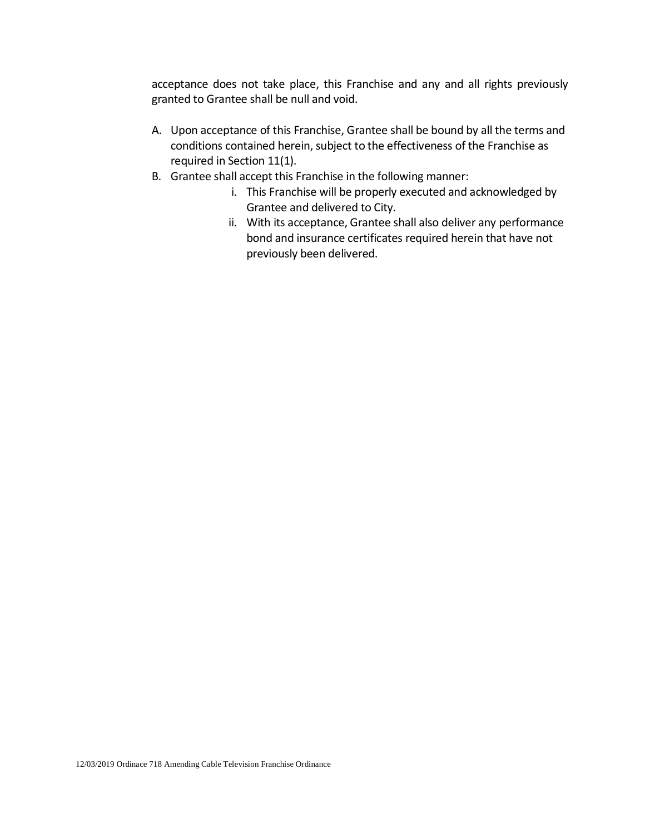acceptance does not take place, this Franchise and any and all rights previously granted to Grantee shall be null and void.

- A. Upon acceptance of this Franchise, Grantee shall be bound by all the terms and conditions contained herein, subject to the effectiveness of the Franchise as required in Section 11(1).
- B. Grantee shall accept this Franchise in the following manner:
	- i. This Franchise will be properly executed and acknowledged by Grantee and delivered to City.
	- ii. With its acceptance, Grantee shall also deliver any performance bond and insurance certificates required herein that have not previously been delivered.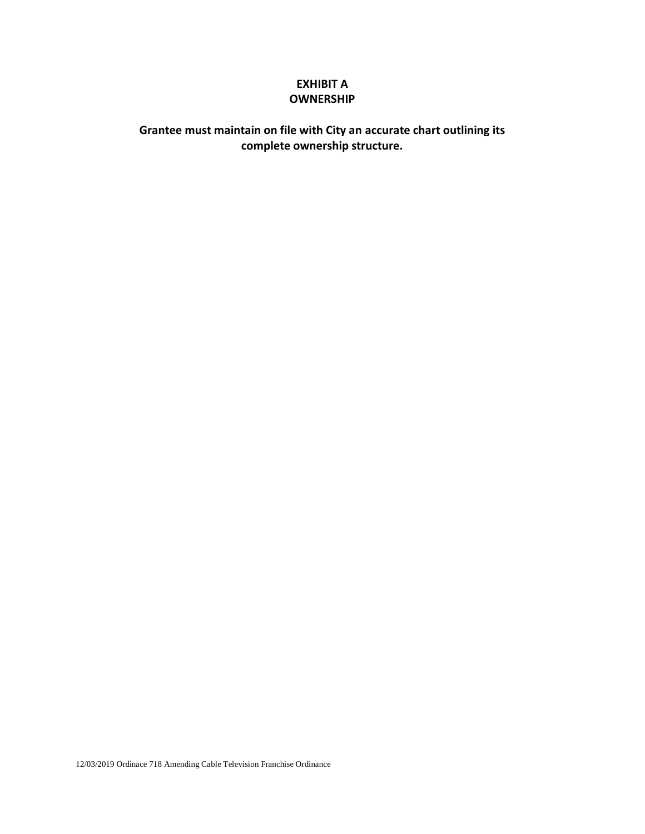# **EXHIBIT A OWNERSHIP**

# **Grantee must maintain on file with City an accurate chart outlining its complete ownership structure.**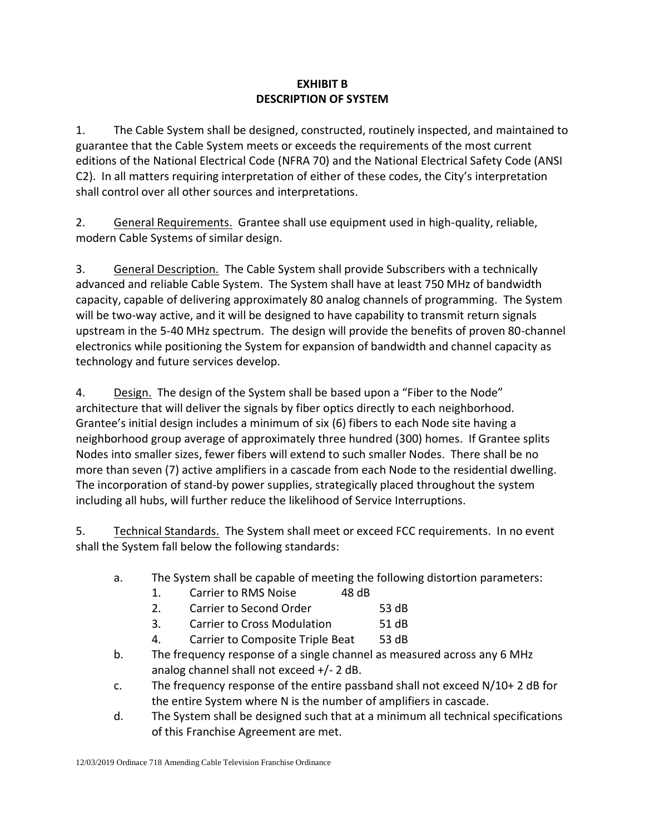# **EXHIBIT B DESCRIPTION OF SYSTEM**

1. The Cable System shall be designed, constructed, routinely inspected, and maintained to guarantee that the Cable System meets or exceeds the requirements of the most current editions of the National Electrical Code (NFRA 70) and the National Electrical Safety Code (ANSI C2). In all matters requiring interpretation of either of these codes, the City's interpretation shall control over all other sources and interpretations.

2. General Requirements. Grantee shall use equipment used in high-quality, reliable, modern Cable Systems of similar design.

3. General Description. The Cable System shall provide Subscribers with a technically advanced and reliable Cable System. The System shall have at least 750 MHz of bandwidth capacity, capable of delivering approximately 80 analog channels of programming. The System will be two-way active, and it will be designed to have capability to transmit return signals upstream in the 5-40 MHz spectrum. The design will provide the benefits of proven 80-channel electronics while positioning the System for expansion of bandwidth and channel capacity as technology and future services develop.

4. Design. The design of the System shall be based upon a "Fiber to the Node" architecture that will deliver the signals by fiber optics directly to each neighborhood. Grantee's initial design includes a minimum of six (6) fibers to each Node site having a neighborhood group average of approximately three hundred (300) homes. If Grantee splits Nodes into smaller sizes, fewer fibers will extend to such smaller Nodes. There shall be no more than seven (7) active amplifiers in a cascade from each Node to the residential dwelling. The incorporation of stand-by power supplies, strategically placed throughout the system including all hubs, will further reduce the likelihood of Service Interruptions.

5. Technical Standards. The System shall meet or exceed FCC requirements. In no event shall the System fall below the following standards:

- a. The System shall be capable of meeting the following distortion parameters:
	- 1. Carrier to RMS Noise 48 dB
	- 2. Carrier to Second Order 53 dB
	- 3. Carrier to Cross Modulation 51 dB
	- 4. Carrier to Composite Triple Beat 53 dB
- b. The frequency response of a single channel as measured across any 6 MHz analog channel shall not exceed +/- 2 dB.
- c. The frequency response of the entire passband shall not exceed N/10+ 2 dB for the entire System where N is the number of amplifiers in cascade.
- d. The System shall be designed such that at a minimum all technical specifications of this Franchise Agreement are met.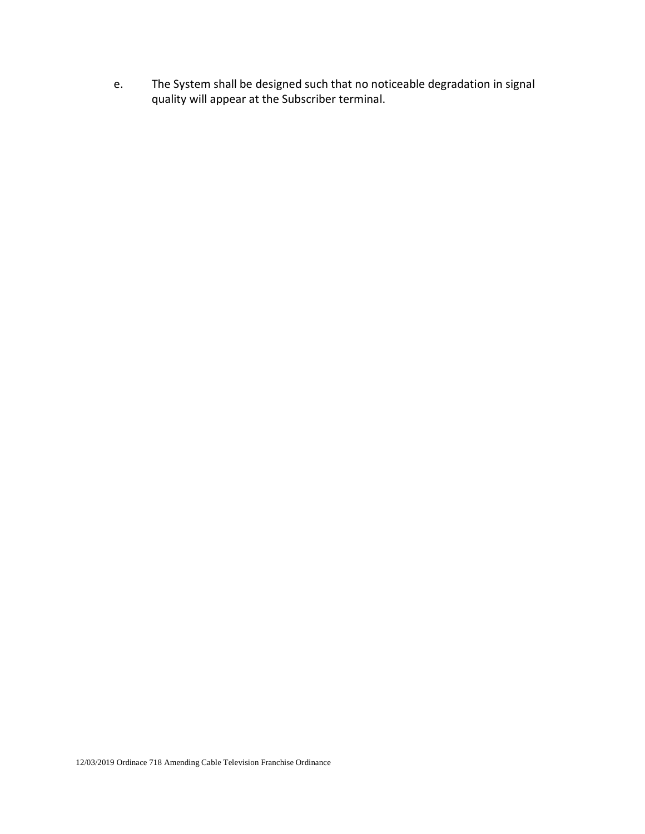e. The System shall be designed such that no noticeable degradation in signal quality will appear at the Subscriber terminal.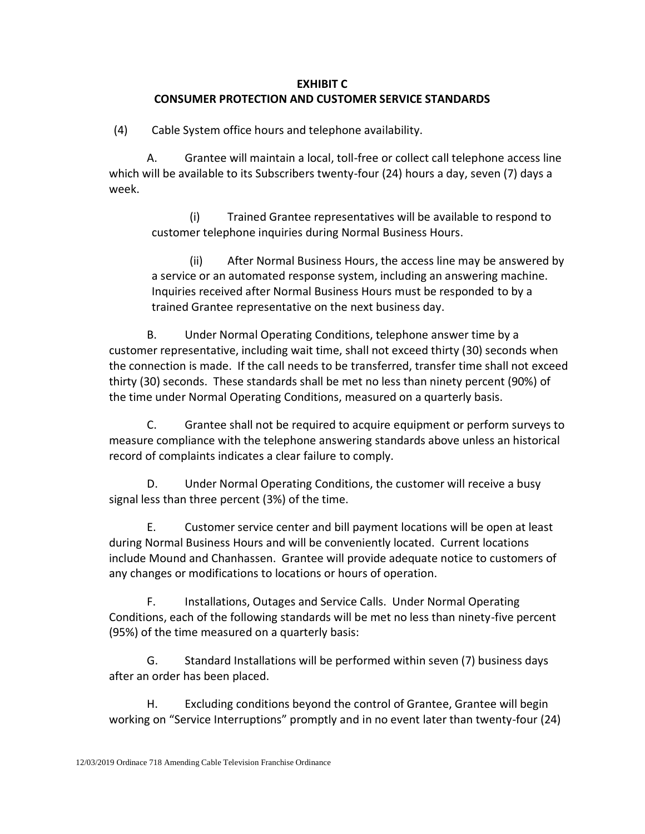# **EXHIBIT C CONSUMER PROTECTION AND CUSTOMER SERVICE STANDARDS**

(4) Cable System office hours and telephone availability.

A. Grantee will maintain a local, toll-free or collect call telephone access line which will be available to its Subscribers twenty-four (24) hours a day, seven (7) days a week.

(i) Trained Grantee representatives will be available to respond to customer telephone inquiries during Normal Business Hours.

(ii) After Normal Business Hours, the access line may be answered by a service or an automated response system, including an answering machine. Inquiries received after Normal Business Hours must be responded to by a trained Grantee representative on the next business day.

B. Under Normal Operating Conditions, telephone answer time by a customer representative, including wait time, shall not exceed thirty (30) seconds when the connection is made. If the call needs to be transferred, transfer time shall not exceed thirty (30) seconds. These standards shall be met no less than ninety percent (90%) of the time under Normal Operating Conditions, measured on a quarterly basis.

C. Grantee shall not be required to acquire equipment or perform surveys to measure compliance with the telephone answering standards above unless an historical record of complaints indicates a clear failure to comply.

D. Under Normal Operating Conditions, the customer will receive a busy signal less than three percent (3%) of the time.

E. Customer service center and bill payment locations will be open at least during Normal Business Hours and will be conveniently located. Current locations include Mound and Chanhassen. Grantee will provide adequate notice to customers of any changes or modifications to locations or hours of operation.

F. Installations, Outages and Service Calls. Under Normal Operating Conditions, each of the following standards will be met no less than ninety-five percent (95%) of the time measured on a quarterly basis:

G. Standard Installations will be performed within seven (7) business days after an order has been placed.

H. Excluding conditions beyond the control of Grantee, Grantee will begin working on "Service Interruptions" promptly and in no event later than twenty-four (24)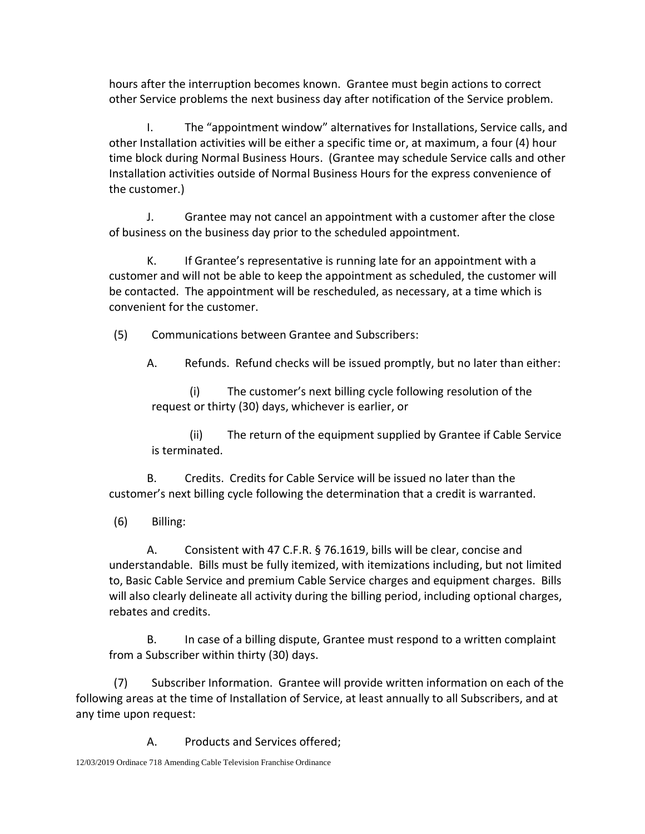hours after the interruption becomes known. Grantee must begin actions to correct other Service problems the next business day after notification of the Service problem.

I. The "appointment window" alternatives for Installations, Service calls, and other Installation activities will be either a specific time or, at maximum, a four (4) hour time block during Normal Business Hours. (Grantee may schedule Service calls and other Installation activities outside of Normal Business Hours for the express convenience of the customer.)

J. Grantee may not cancel an appointment with a customer after the close of business on the business day prior to the scheduled appointment.

K. If Grantee's representative is running late for an appointment with a customer and will not be able to keep the appointment as scheduled, the customer will be contacted. The appointment will be rescheduled, as necessary, at a time which is convenient for the customer.

(5) Communications between Grantee and Subscribers:

A. Refunds. Refund checks will be issued promptly, but no later than either:

(i) The customer's next billing cycle following resolution of the request or thirty (30) days, whichever is earlier, or

(ii) The return of the equipment supplied by Grantee if Cable Service is terminated.

B. Credits. Credits for Cable Service will be issued no later than the customer's next billing cycle following the determination that a credit is warranted.

(6) Billing:

A. Consistent with 47 C.F.R. § 76.1619, bills will be clear, concise and understandable. Bills must be fully itemized, with itemizations including, but not limited to, Basic Cable Service and premium Cable Service charges and equipment charges. Bills will also clearly delineate all activity during the billing period, including optional charges, rebates and credits.

B. In case of a billing dispute, Grantee must respond to a written complaint from a Subscriber within thirty (30) days.

(7) Subscriber Information. Grantee will provide written information on each of the following areas at the time of Installation of Service, at least annually to all Subscribers, and at any time upon request:

A. Products and Services offered;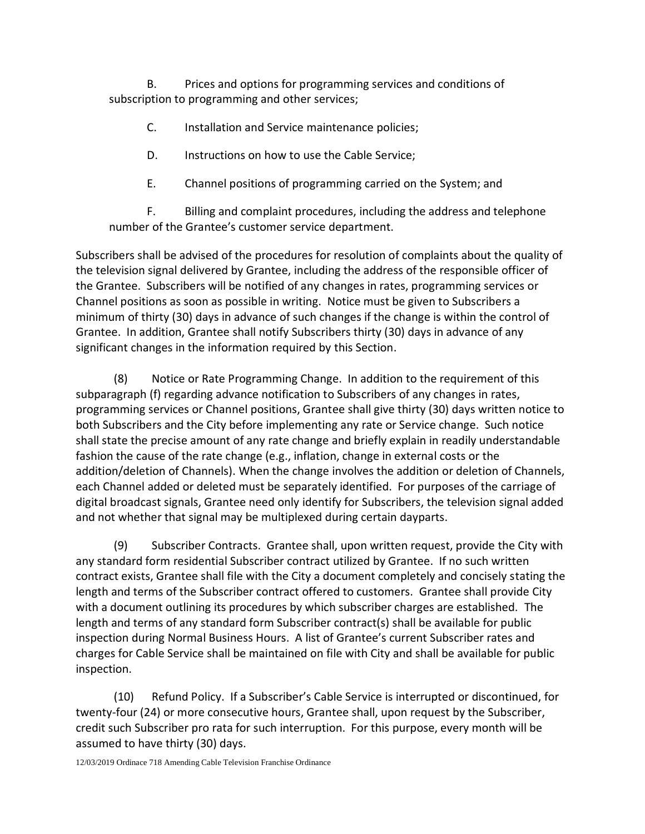B. Prices and options for programming services and conditions of subscription to programming and other services;

- C. Installation and Service maintenance policies;
- D. Instructions on how to use the Cable Service;
- E. Channel positions of programming carried on the System; and

F. Billing and complaint procedures, including the address and telephone number of the Grantee's customer service department.

Subscribers shall be advised of the procedures for resolution of complaints about the quality of the television signal delivered by Grantee, including the address of the responsible officer of the Grantee. Subscribers will be notified of any changes in rates, programming services or Channel positions as soon as possible in writing. Notice must be given to Subscribers a minimum of thirty (30) days in advance of such changes if the change is within the control of Grantee. In addition, Grantee shall notify Subscribers thirty (30) days in advance of any significant changes in the information required by this Section.

(8) Notice or Rate Programming Change. In addition to the requirement of this subparagraph (f) regarding advance notification to Subscribers of any changes in rates, programming services or Channel positions, Grantee shall give thirty (30) days written notice to both Subscribers and the City before implementing any rate or Service change. Such notice shall state the precise amount of any rate change and briefly explain in readily understandable fashion the cause of the rate change (e.g., inflation, change in external costs or the addition/deletion of Channels). When the change involves the addition or deletion of Channels, each Channel added or deleted must be separately identified. For purposes of the carriage of digital broadcast signals, Grantee need only identify for Subscribers, the television signal added and not whether that signal may be multiplexed during certain dayparts.

(9) Subscriber Contracts. Grantee shall, upon written request, provide the City with any standard form residential Subscriber contract utilized by Grantee. If no such written contract exists, Grantee shall file with the City a document completely and concisely stating the length and terms of the Subscriber contract offered to customers. Grantee shall provide City with a document outlining its procedures by which subscriber charges are established. The length and terms of any standard form Subscriber contract(s) shall be available for public inspection during Normal Business Hours. A list of Grantee's current Subscriber rates and charges for Cable Service shall be maintained on file with City and shall be available for public inspection.

(10) Refund Policy. If a Subscriber's Cable Service is interrupted or discontinued, for twenty-four (24) or more consecutive hours, Grantee shall, upon request by the Subscriber, credit such Subscriber pro rata for such interruption. For this purpose, every month will be assumed to have thirty (30) days.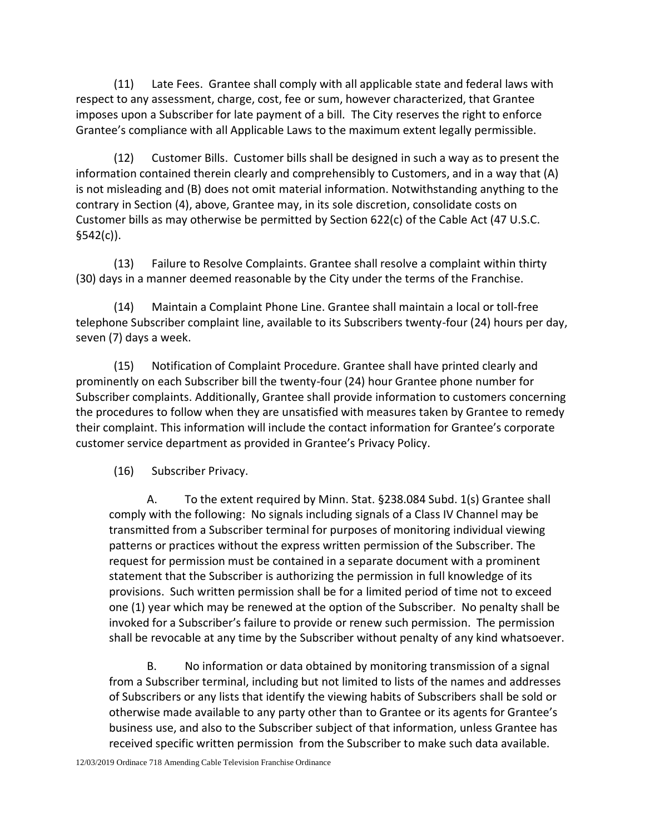(11) Late Fees. Grantee shall comply with all applicable state and federal laws with respect to any assessment, charge, cost, fee or sum, however characterized, that Grantee imposes upon a Subscriber for late payment of a bill. The City reserves the right to enforce Grantee's compliance with all Applicable Laws to the maximum extent legally permissible.

(12) Customer Bills. Customer bills shall be designed in such a way as to present the information contained therein clearly and comprehensibly to Customers, and in a way that (A) is not misleading and (B) does not omit material information. Notwithstanding anything to the contrary in Section (4), above, Grantee may, in its sole discretion, consolidate costs on Customer bills as may otherwise be permitted by Section 622(c) of the Cable Act (47 U.S.C.  $$542(c)$ ).

(13) Failure to Resolve Complaints. Grantee shall resolve a complaint within thirty (30) days in a manner deemed reasonable by the City under the terms of the Franchise.

(14) Maintain a Complaint Phone Line. Grantee shall maintain a local or toll-free telephone Subscriber complaint line, available to its Subscribers twenty-four (24) hours per day, seven (7) days a week.

(15) Notification of Complaint Procedure. Grantee shall have printed clearly and prominently on each Subscriber bill the twenty-four (24) hour Grantee phone number for Subscriber complaints. Additionally, Grantee shall provide information to customers concerning the procedures to follow when they are unsatisfied with measures taken by Grantee to remedy their complaint. This information will include the contact information for Grantee's corporate customer service department as provided in Grantee's Privacy Policy.

(16) Subscriber Privacy.

A. To the extent required by Minn. Stat. §238.084 Subd. 1(s) Grantee shall comply with the following: No signals including signals of a Class IV Channel may be transmitted from a Subscriber terminal for purposes of monitoring individual viewing patterns or practices without the express written permission of the Subscriber. The request for permission must be contained in a separate document with a prominent statement that the Subscriber is authorizing the permission in full knowledge of its provisions. Such written permission shall be for a limited period of time not to exceed one (1) year which may be renewed at the option of the Subscriber. No penalty shall be invoked for a Subscriber's failure to provide or renew such permission. The permission shall be revocable at any time by the Subscriber without penalty of any kind whatsoever.

B. No information or data obtained by monitoring transmission of a signal from a Subscriber terminal, including but not limited to lists of the names and addresses of Subscribers or any lists that identify the viewing habits of Subscribers shall be sold or otherwise made available to any party other than to Grantee or its agents for Grantee's business use, and also to the Subscriber subject of that information, unless Grantee has received specific written permission from the Subscriber to make such data available.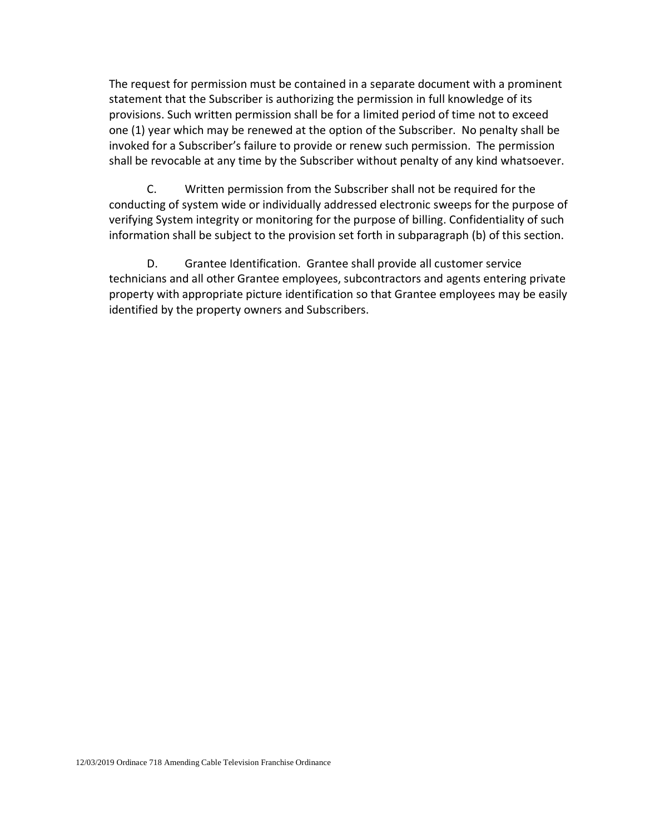The request for permission must be contained in a separate document with a prominent statement that the Subscriber is authorizing the permission in full knowledge of its provisions. Such written permission shall be for a limited period of time not to exceed one (1) year which may be renewed at the option of the Subscriber. No penalty shall be invoked for a Subscriber's failure to provide or renew such permission. The permission shall be revocable at any time by the Subscriber without penalty of any kind whatsoever.

C. Written permission from the Subscriber shall not be required for the conducting of system wide or individually addressed electronic sweeps for the purpose of verifying System integrity or monitoring for the purpose of billing. Confidentiality of such information shall be subject to the provision set forth in subparagraph (b) of this section.

D. Grantee Identification. Grantee shall provide all customer service technicians and all other Grantee employees, subcontractors and agents entering private property with appropriate picture identification so that Grantee employees may be easily identified by the property owners and Subscribers.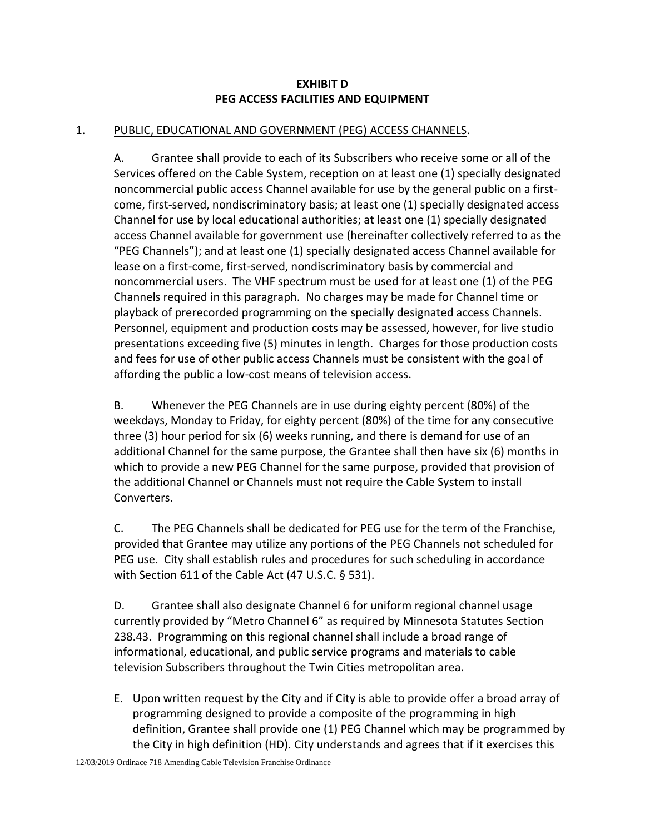# **EXHIBIT D PEG ACCESS FACILITIES AND EQUIPMENT**

# 1. PUBLIC, EDUCATIONAL AND GOVERNMENT (PEG) ACCESS CHANNELS.

A. Grantee shall provide to each of its Subscribers who receive some or all of the Services offered on the Cable System, reception on at least one (1) specially designated noncommercial public access Channel available for use by the general public on a firstcome, first-served, nondiscriminatory basis; at least one (1) specially designated access Channel for use by local educational authorities; at least one (1) specially designated access Channel available for government use (hereinafter collectively referred to as the "PEG Channels"); and at least one (1) specially designated access Channel available for lease on a first-come, first-served, nondiscriminatory basis by commercial and noncommercial users. The VHF spectrum must be used for at least one (1) of the PEG Channels required in this paragraph. No charges may be made for Channel time or playback of prerecorded programming on the specially designated access Channels. Personnel, equipment and production costs may be assessed, however, for live studio presentations exceeding five (5) minutes in length. Charges for those production costs and fees for use of other public access Channels must be consistent with the goal of affording the public a low-cost means of television access.

B. Whenever the PEG Channels are in use during eighty percent (80%) of the weekdays, Monday to Friday, for eighty percent (80%) of the time for any consecutive three (3) hour period for six (6) weeks running, and there is demand for use of an additional Channel for the same purpose, the Grantee shall then have six (6) months in which to provide a new PEG Channel for the same purpose, provided that provision of the additional Channel or Channels must not require the Cable System to install Converters.

C. The PEG Channels shall be dedicated for PEG use for the term of the Franchise, provided that Grantee may utilize any portions of the PEG Channels not scheduled for PEG use. City shall establish rules and procedures for such scheduling in accordance with Section 611 of the Cable Act (47 U.S.C. § 531).

D. Grantee shall also designate Channel 6 for uniform regional channel usage currently provided by "Metro Channel 6" as required by Minnesota Statutes Section 238.43. Programming on this regional channel shall include a broad range of informational, educational, and public service programs and materials to cable television Subscribers throughout the Twin Cities metropolitan area.

E. Upon written request by the City and if City is able to provide offer a broad array of programming designed to provide a composite of the programming in high definition, Grantee shall provide one (1) PEG Channel which may be programmed by the City in high definition (HD). City understands and agrees that if it exercises this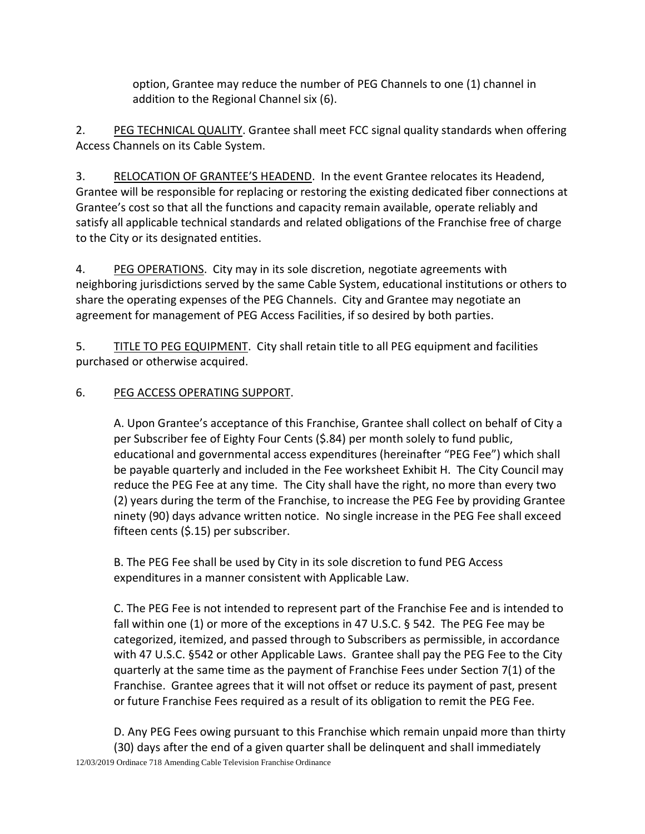option, Grantee may reduce the number of PEG Channels to one (1) channel in addition to the Regional Channel six (6).

2. PEG TECHNICAL QUALITY. Grantee shall meet FCC signal quality standards when offering Access Channels on its Cable System.

3. RELOCATION OF GRANTEE'S HEADEND. In the event Grantee relocates its Headend, Grantee will be responsible for replacing or restoring the existing dedicated fiber connections at Grantee's cost so that all the functions and capacity remain available, operate reliably and satisfy all applicable technical standards and related obligations of the Franchise free of charge to the City or its designated entities.

4. PEG OPERATIONS. City may in its sole discretion, negotiate agreements with neighboring jurisdictions served by the same Cable System, educational institutions or others to share the operating expenses of the PEG Channels. City and Grantee may negotiate an agreement for management of PEG Access Facilities, if so desired by both parties.

5. TITLE TO PEG EQUIPMENT. City shall retain title to all PEG equipment and facilities purchased or otherwise acquired.

# 6. PEG ACCESS OPERATING SUPPORT.

A. Upon Grantee's acceptance of this Franchise, Grantee shall collect on behalf of City a per Subscriber fee of Eighty Four Cents (\$.84) per month solely to fund public, educational and governmental access expenditures (hereinafter "PEG Fee") which shall be payable quarterly and included in the Fee worksheet Exhibit H. The City Council may reduce the PEG Fee at any time. The City shall have the right, no more than every two (2) years during the term of the Franchise, to increase the PEG Fee by providing Grantee ninety (90) days advance written notice. No single increase in the PEG Fee shall exceed fifteen cents (\$.15) per subscriber.

B. The PEG Fee shall be used by City in its sole discretion to fund PEG Access expenditures in a manner consistent with Applicable Law.

C. The PEG Fee is not intended to represent part of the Franchise Fee and is intended to fall within one (1) or more of the exceptions in 47 U.S.C. § 542. The PEG Fee may be categorized, itemized, and passed through to Subscribers as permissible, in accordance with 47 U.S.C. §542 or other Applicable Laws. Grantee shall pay the PEG Fee to the City quarterly at the same time as the payment of Franchise Fees under Section 7(1) of the Franchise. Grantee agrees that it will not offset or reduce its payment of past, present or future Franchise Fees required as a result of its obligation to remit the PEG Fee.

12/03/2019 Ordinace 718 Amending Cable Television Franchise Ordinance D. Any PEG Fees owing pursuant to this Franchise which remain unpaid more than thirty (30) days after the end of a given quarter shall be delinquent and shall immediately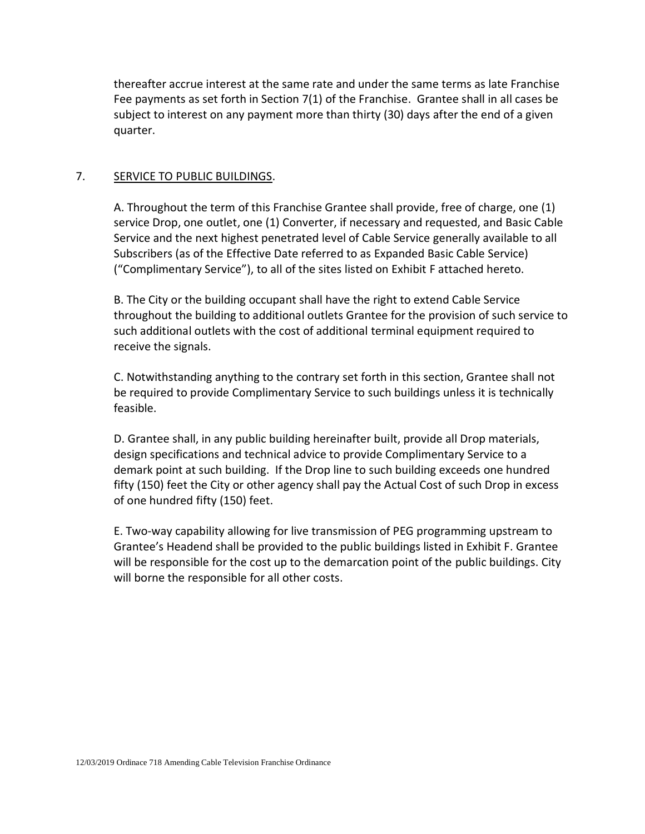thereafter accrue interest at the same rate and under the same terms as late Franchise Fee payments as set forth in Section 7(1) of the Franchise. Grantee shall in all cases be subject to interest on any payment more than thirty (30) days after the end of a given quarter.

### 7. SERVICE TO PUBLIC BUILDINGS.

A. Throughout the term of this Franchise Grantee shall provide, free of charge, one (1) service Drop, one outlet, one (1) Converter, if necessary and requested, and Basic Cable Service and the next highest penetrated level of Cable Service generally available to all Subscribers (as of the Effective Date referred to as Expanded Basic Cable Service) ("Complimentary Service"), to all of the sites listed on Exhibit F attached hereto.

B. The City or the building occupant shall have the right to extend Cable Service throughout the building to additional outlets Grantee for the provision of such service to such additional outlets with the cost of additional terminal equipment required to receive the signals.

C. Notwithstanding anything to the contrary set forth in this section, Grantee shall not be required to provide Complimentary Service to such buildings unless it is technically feasible.

D. Grantee shall, in any public building hereinafter built, provide all Drop materials, design specifications and technical advice to provide Complimentary Service to a demark point at such building. If the Drop line to such building exceeds one hundred fifty (150) feet the City or other agency shall pay the Actual Cost of such Drop in excess of one hundred fifty (150) feet.

E. Two-way capability allowing for live transmission of PEG programming upstream to Grantee's Headend shall be provided to the public buildings listed in Exhibit F. Grantee will be responsible for the cost up to the demarcation point of the public buildings. City will borne the responsible for all other costs.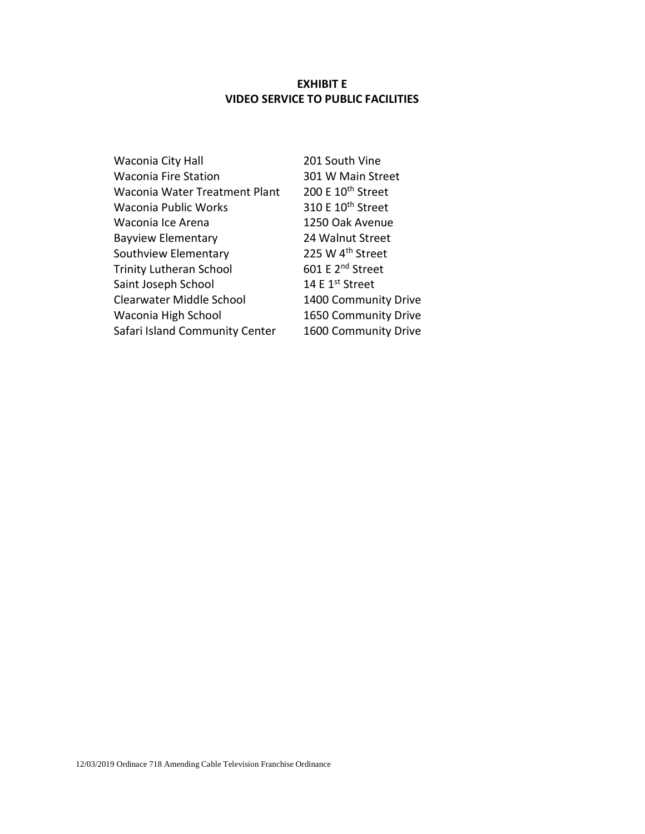# **EXHIBIT E VIDEO SERVICE TO PUBLIC FACILITIES**

| Waconia City Hall              | 201 South Vine                |
|--------------------------------|-------------------------------|
| <b>Waconia Fire Station</b>    | 301 W Main Street             |
| Waconia Water Treatment Plant  | 200 E 10 <sup>th</sup> Street |
| Waconia Public Works           | 310 E 10 <sup>th</sup> Street |
| Waconia Ice Arena              | 1250 Oak Avenue               |
| <b>Bayview Elementary</b>      | 24 Walnut Street              |
| Southview Elementary           | 225 W 4 <sup>th</sup> Street  |
| <b>Trinity Lutheran School</b> | 601 E 2 <sup>nd</sup> Street  |
| Saint Joseph School            | 14 E 1 <sup>st</sup> Street   |
| Clearwater Middle School       | 1400 Community Drive          |
| Waconia High School            | 1650 Community Drive          |
| Safari Island Community Center | 1600 Community Drive          |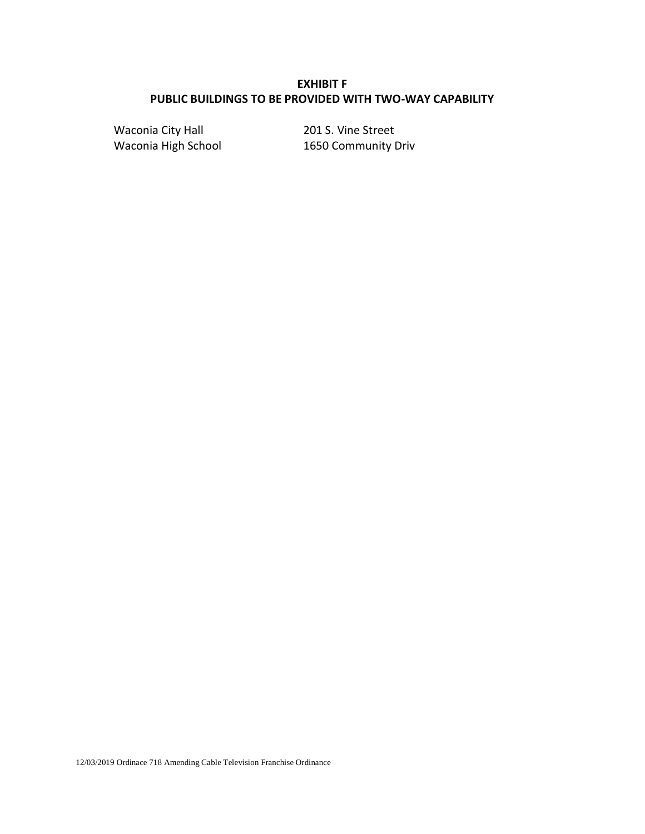# **EXHIBIT F PUBLIC BUILDINGS TO BE PROVIDED WITH TWO-WAY CAPABILITY**

Waconia City Hall 201 S. Vine Street Waconia High School 1650 Community Driv